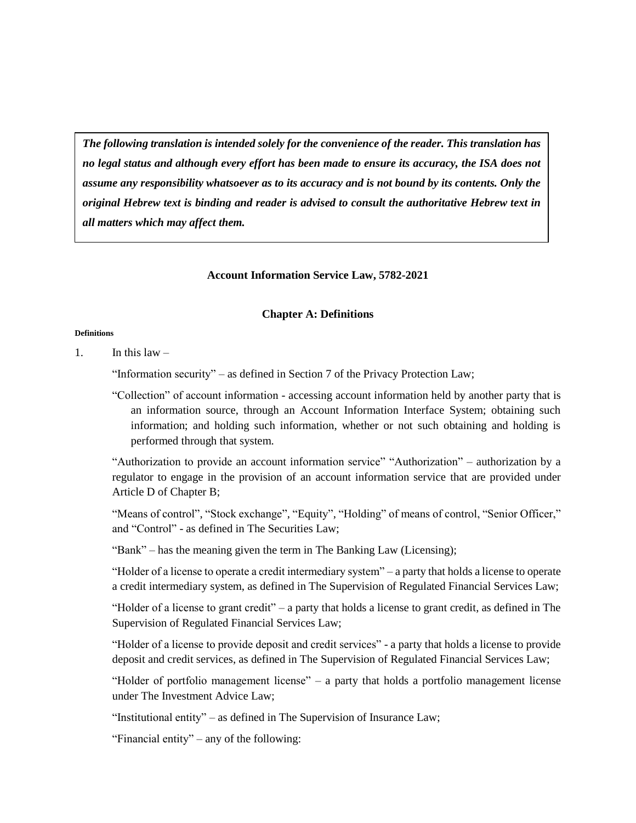*The following translation is intended solely for the convenience of the reader. This translation has no legal status and although every effort has been made to ensure its accuracy, the ISA does not assume any responsibility whatsoever as to its accuracy and is not bound by its contents. Only the original Hebrew text is binding and reader is advised to consult the authoritative Hebrew text in all matters which may affect them.*

### **Account Information Service Law, 5782-2021**

#### **Chapter A: Definitions**

#### **Definitions**

1 In this  $law -$ 

"Information security" – as defined in Section 7 of the Privacy Protection Law;

"Collection" of account information - accessing account information held by another party that is an information source, through an Account Information Interface System; obtaining such information; and holding such information, whether or not such obtaining and holding is performed through that system.

"Authorization to provide an account information service" "Authorization" – authorization by a regulator to engage in the provision of an account information service that are provided under Article D of Chapter B;

"Means of control", "Stock exchange", "Equity", "Holding" of means of control, "Senior Officer," and "Control" - as defined in The Securities Law;

"Bank" – has the meaning given the term in The Banking Law (Licensing);

"Holder of a license to operate a credit intermediary system" – a party that holds a license to operate a credit intermediary system, as defined in The Supervision of Regulated Financial Services Law;

"Holder of a license to grant credit" – a party that holds a license to grant credit, as defined in The Supervision of Regulated Financial Services Law;

"Holder of a license to provide deposit and credit services" - a party that holds a license to provide deposit and credit services, as defined in The Supervision of Regulated Financial Services Law;

"Holder of portfolio management license" – a party that holds a portfolio management license under The Investment Advice Law;

"Institutional entity" – as defined in The Supervision of Insurance Law;

"Financial entity" – any of the following: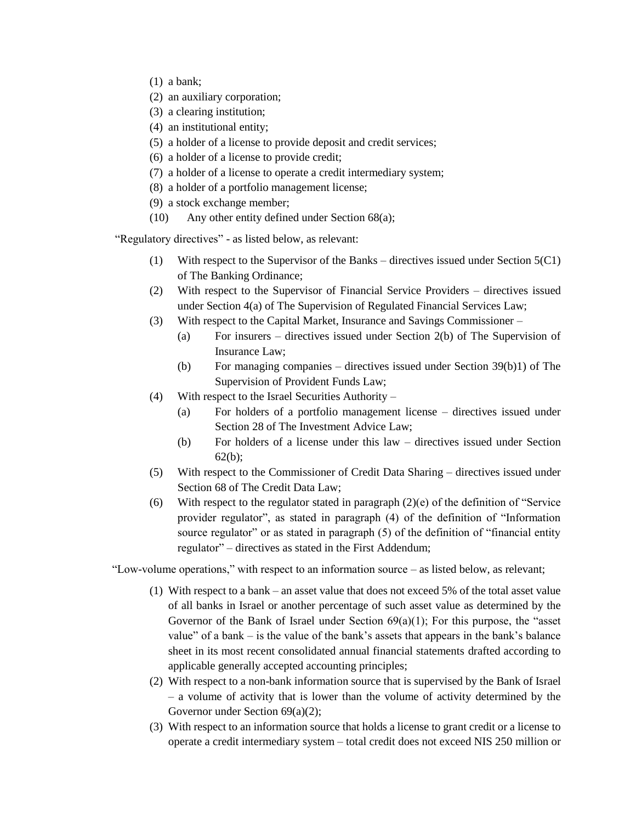- (1) a bank;
- (2) an auxiliary corporation;
- (3) a clearing institution;
- (4) an institutional entity;
- (5) a holder of a license to provide deposit and credit services;
- (6) a holder of a license to provide credit;
- (7) a holder of a license to operate a credit intermediary system;
- (8) a holder of a portfolio management license;
- (9) a stock exchange member;
- (10) Any other entity defined under Section 68(a);

"Regulatory directives" - as listed below, as relevant:

- (1) With respect to the Supervisor of the Banks directives issued under Section 5(C1) of The Banking Ordinance;
- (2) With respect to the Supervisor of Financial Service Providers directives issued under Section 4(a) of The Supervision of Regulated Financial Services Law;
- (3) With respect to the Capital Market, Insurance and Savings Commissioner
	- (a) For insurers directives issued under Section 2(b) of The Supervision of Insurance Law;
	- (b) For managing companies directives issued under Section 39(b)1) of The Supervision of Provident Funds Law;
- (4) With respect to the Israel Securities Authority
	- (a) For holders of a portfolio management license directives issued under Section 28 of The Investment Advice Law;
	- (b) For holders of a license under this law directives issued under Section 62(b);
- (5) With respect to the Commissioner of Credit Data Sharing directives issued under Section 68 of The Credit Data Law;
- (6) With respect to the regulator stated in paragraph (2)(e) of the definition of "Service provider regulator", as stated in paragraph (4) of the definition of "Information source regulator" or as stated in paragraph (5) of the definition of "financial entity regulator" – directives as stated in the First Addendum;

"Low-volume operations," with respect to an information source – as listed below, as relevant;

- (1) With respect to a bank an asset value that does not exceed 5% of the total asset value of all banks in Israel or another percentage of such asset value as determined by the Governor of the Bank of Israel under Section  $69(a)(1)$ ; For this purpose, the "asset value" of a bank  $-$  is the value of the bank's assets that appears in the bank's balance sheet in its most recent consolidated annual financial statements drafted according to applicable generally accepted accounting principles;
- (2) With respect to a non-bank information source that is supervised by the Bank of Israel – a volume of activity that is lower than the volume of activity determined by the Governor under Section 69(a)(2);
- (3) With respect to an information source that holds a license to grant credit or a license to operate a credit intermediary system – total credit does not exceed NIS 250 million or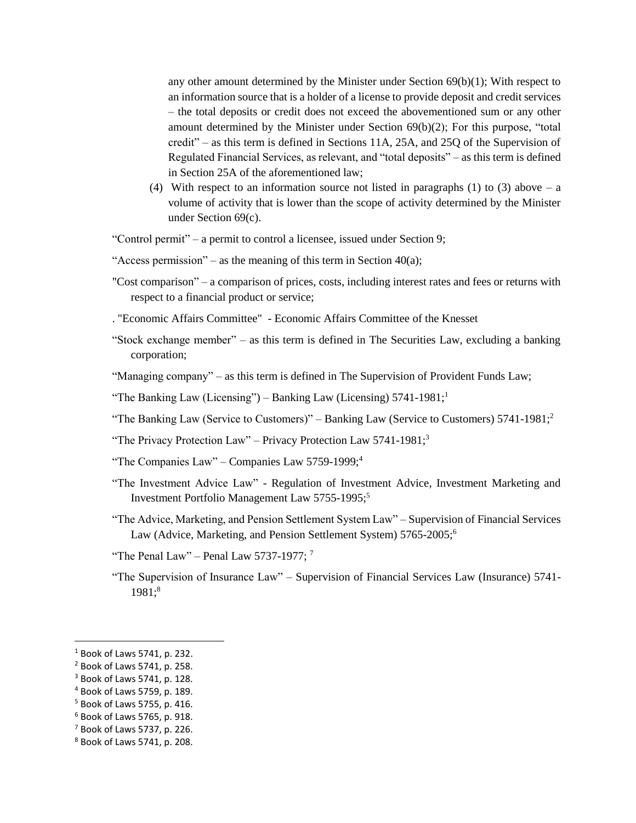any other amount determined by the Minister under Section  $69(b)(1)$ ; With respect to an information source that is a holder of a license to provide deposit and credit services – the total deposits or credit does not exceed the abovementioned sum or any other amount determined by the Minister under Section 69(b)(2); For this purpose, "total credit" – as this term is defined in Sections 11A, 25A, and 25Q of the Supervision of Regulated Financial Services, as relevant, and "total deposits" – as this term is defined in Section 25A of the aforementioned law;

(4) With respect to an information source not listed in paragraphs (1) to (3) above – a volume of activity that is lower than the scope of activity determined by the Minister under Section 69(c).

"Control permit" – a permit to control a licensee, issued under Section 9;

"Access permission" – as the meaning of this term in Section  $40(a)$ ;

"Cost comparison" – a comparison of prices, costs, including interest rates and fees or returns with respect to a financial product or service;

. "Economic Affairs Committee" - Economic Affairs Committee of the Knesset

"Stock exchange member" – as this term is defined in The Securities Law, excluding a banking corporation;

"Managing company" – as this term is defined in The Supervision of Provident Funds Law;

"The Banking Law (Licensing") – Banking Law (Licensing)  $5741-1981$ ;<sup>1</sup>

- "The Banking Law (Service to Customers)" Banking Law (Service to Customers)  $5741-1981$ ;
- "The Privacy Protection Law" Privacy Protection Law 5741-1981;<sup>3</sup>
- "The Companies Law" Companies Law 5759-1999;<sup>4</sup>
- "The Investment Advice Law" Regulation of Investment Advice, Investment Marketing and Investment Portfolio Management Law 5755-1995;<sup>5</sup>
- "The Advice, Marketing, and Pension Settlement System Law" Supervision of Financial Services Law (Advice, Marketing, and Pension Settlement System) 5765-2005;<sup>6</sup>
- "The Penal Law" Penal Law 5737-1977;  $^7$
- "The Supervision of Insurance Law" Supervision of Financial Services Law (Insurance) 5741-1981:<sup>8</sup>

 $\overline{a}$ 

<sup>1</sup> Book of Laws 5741, p. 232.

<sup>2</sup> Book of Laws 5741, p. 258.

<sup>3</sup> Book of Laws 5741, p. 128.

<sup>4</sup> Book of Laws 5759, p. 189.

<sup>5</sup> Book of Laws 5755, p. 416.

<sup>6</sup> Book of Laws 5765, p. 918.

 $<sup>7</sup>$  Book of Laws 5737, p. 226.</sup>

<sup>8</sup> Book of Laws 5741, p. 208.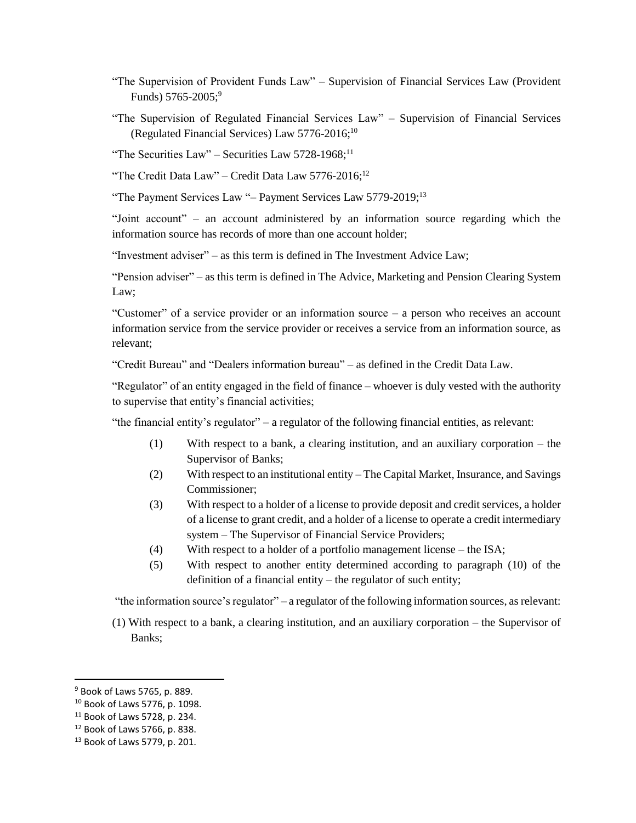- "The Supervision of Provident Funds Law" Supervision of Financial Services Law (Provident Funds)  $5765 - 2005$ ;<sup>9</sup>
- "The Supervision of Regulated Financial Services Law" Supervision of Financial Services (Regulated Financial Services) Law  $5776-2016$ ;<sup>10</sup>

"The Securities Law" – Securities Law  $5728-1968$ ;<sup>11</sup>

"The Credit Data Law" – Credit Data Law 5776-2016;<sup>12</sup>

"The Payment Services Law "- Payment Services Law 5779-2019;<sup>13</sup>

"Joint account" – an account administered by an information source regarding which the information source has records of more than one account holder;

"Investment adviser" – as this term is defined in The Investment Advice Law;

"Pension adviser" – as this term is defined in The Advice, Marketing and Pension Clearing System Law;

"Customer" of a service provider or an information source – a person who receives an account information service from the service provider or receives a service from an information source, as relevant;

"Credit Bureau" and "Dealers information bureau" – as defined in the Credit Data Law.

"Regulator" of an entity engaged in the field of finance – whoever is duly vested with the authority to supervise that entity's financial activities;

"the financial entity's regulator" – a regulator of the following financial entities, as relevant:

- (1) With respect to a bank, a clearing institution, and an auxiliary corporation the Supervisor of Banks;
- (2) With respect to an institutional entity The Capital Market, Insurance, and Savings Commissioner;
- (3) With respect to a holder of a license to provide deposit and credit services, a holder of a license to grant credit, and a holder of a license to operate a credit intermediary system – The Supervisor of Financial Service Providers;
- (4) With respect to a holder of a portfolio management license the ISA;
- (5) With respect to another entity determined according to paragraph (10) of the definition of a financial entity – the regulator of such entity;

"the information source's regulator" – a regulator of the following information sources, as relevant:

(1) With respect to a bank, a clearing institution, and an auxiliary corporation – the Supervisor of Banks;

 $\overline{\phantom{a}}$ 

<sup>9</sup> Book of Laws 5765, p. 889.

<sup>10</sup> Book of Laws 5776, p. 1098.

<sup>11</sup> Book of Laws 5728, p. 234.

<sup>12</sup> Book of Laws 5766, p. 838.

<sup>13</sup> Book of Laws 5779, p. 201.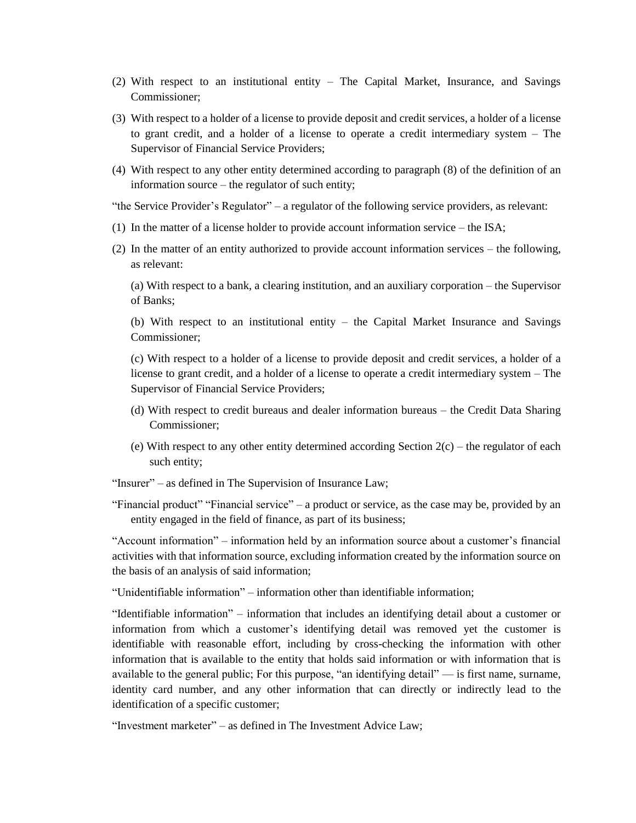- (2) With respect to an institutional entity The Capital Market, Insurance, and Savings Commissioner;
- (3) With respect to a holder of a license to provide deposit and credit services, a holder of a license to grant credit, and a holder of a license to operate a credit intermediary system – The Supervisor of Financial Service Providers;
- (4) With respect to any other entity determined according to paragraph (8) of the definition of an information source – the regulator of such entity;

"the Service Provider's Regulator" – a regulator of the following service providers, as relevant:

- (1) In the matter of a license holder to provide account information service the ISA;
- (2) In the matter of an entity authorized to provide account information services the following, as relevant:

(a) With respect to a bank, a clearing institution, and an auxiliary corporation – the Supervisor of Banks;

(b) With respect to an institutional entity – the Capital Market Insurance and Savings Commissioner;

(c) With respect to a holder of a license to provide deposit and credit services, a holder of a license to grant credit, and a holder of a license to operate a credit intermediary system – The Supervisor of Financial Service Providers;

- (d) With respect to credit bureaus and dealer information bureaus the Credit Data Sharing Commissioner;
- (e) With respect to any other entity determined according Section  $2(c)$  the regulator of each such entity;

"Insurer" – as defined in The Supervision of Insurance Law;

"Financial product" "Financial service" – a product or service, as the case may be, provided by an entity engaged in the field of finance, as part of its business;

"Account information" – information held by an information source about a customer's financial activities with that information source, excluding information created by the information source on the basis of an analysis of said information;

"Unidentifiable information" – information other than identifiable information;

"Identifiable information" – information that includes an identifying detail about a customer or information from which a customer's identifying detail was removed yet the customer is identifiable with reasonable effort, including by cross-checking the information with other information that is available to the entity that holds said information or with information that is available to the general public; For this purpose, "an identifying detail" — is first name, surname, identity card number, and any other information that can directly or indirectly lead to the identification of a specific customer;

"Investment marketer" – as defined in The Investment Advice Law;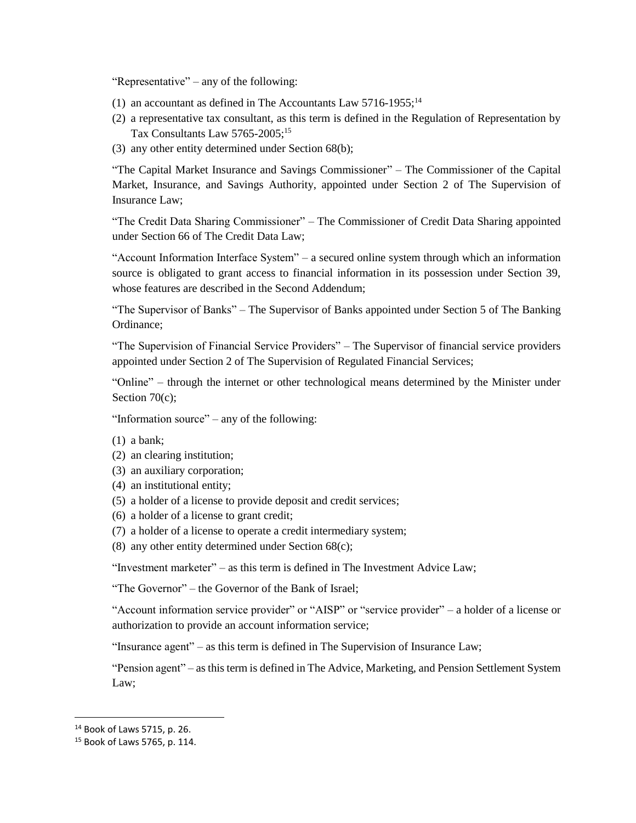"Representative" – any of the following:

- (1) an accountant as defined in The Accountants Law  $5716-1955$ ;<sup>14</sup>
- (2) a representative tax consultant, as this term is defined in the Regulation of Representation by Tax Consultants Law 5765-2005:<sup>15</sup>
- (3) any other entity determined under Section 68(b);

"The Capital Market Insurance and Savings Commissioner" – The Commissioner of the Capital Market, Insurance, and Savings Authority, appointed under Section 2 of The Supervision of Insurance Law;

"The Credit Data Sharing Commissioner" – The Commissioner of Credit Data Sharing appointed under Section 66 of The Credit Data Law;

"Account Information Interface System" – a secured online system through which an information source is obligated to grant access to financial information in its possession under Section 39, whose features are described in the Second Addendum;

"The Supervisor of Banks" – The Supervisor of Banks appointed under Section 5 of The Banking Ordinance;

"The Supervision of Financial Service Providers" – The Supervisor of financial service providers appointed under Section 2 of The Supervision of Regulated Financial Services;

"Online" – through the internet or other technological means determined by the Minister under Section 70(c):

"Information source" – any of the following:

- (1) a bank;
- (2) an clearing institution;
- (3) an auxiliary corporation;
- (4) an institutional entity;
- (5) a holder of a license to provide deposit and credit services;
- (6) a holder of a license to grant credit;
- (7) a holder of a license to operate a credit intermediary system;
- (8) any other entity determined under Section 68(c);

"Investment marketer" – as this term is defined in The Investment Advice Law;

"The Governor" – the Governor of the Bank of Israel;

"Account information service provider" or "AISP" or "service provider" – a holder of a license or authorization to provide an account information service;

"Insurance agent" – as this term is defined in The Supervision of Insurance Law;

"Pension agent" – as this term is defined in The Advice, Marketing, and Pension Settlement System Law;

 $\overline{\phantom{a}}$ 

<sup>14</sup> Book of Laws 5715, p. 26.

<sup>15</sup> Book of Laws 5765, p. 114.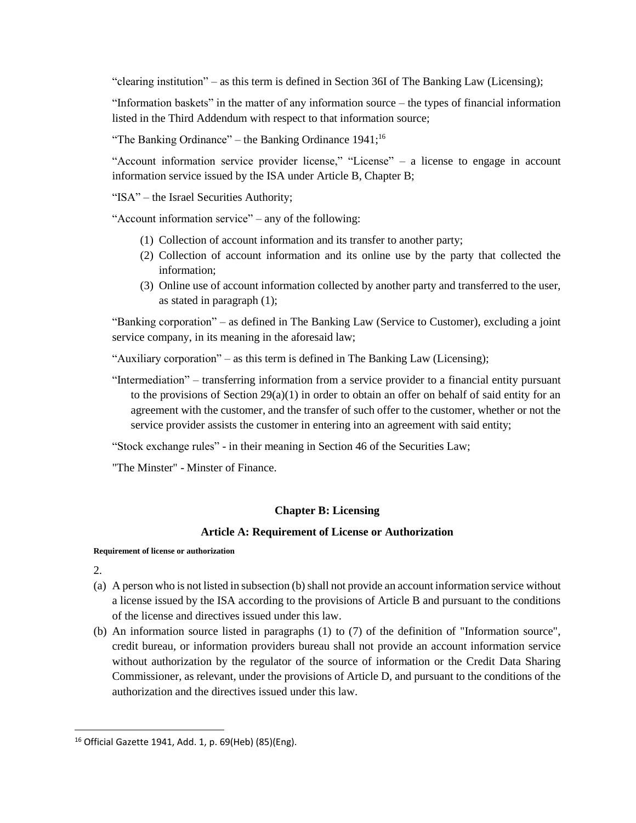"clearing institution" – as this term is defined in Section 36I of The Banking Law (Licensing);

"Information baskets" in the matter of any information source – the types of financial information listed in the Third Addendum with respect to that information source;

"The Banking Ordinance" – the Banking Ordinance  $1941$ ;<sup>16</sup>

"Account information service provider license," "License" – a license to engage in account information service issued by the ISA under Article B, Chapter B;

"ISA" – the Israel Securities Authority;

"Account information service" – any of the following:

- (1) Collection of account information and its transfer to another party;
- (2) Collection of account information and its online use by the party that collected the information;
- (3) Online use of account information collected by another party and transferred to the user, as stated in paragraph (1);

"Banking corporation" – as defined in The Banking Law (Service to Customer), excluding a joint service company, in its meaning in the aforesaid law;

"Auxiliary corporation" – as this term is defined in The Banking Law (Licensing);

"Intermediation" – transferring information from a service provider to a financial entity pursuant to the provisions of Section  $29(a)(1)$  in order to obtain an offer on behalf of said entity for an agreement with the customer, and the transfer of such offer to the customer, whether or not the service provider assists the customer in entering into an agreement with said entity;

"Stock exchange rules" - in their meaning in Section 46 of the Securities Law;

"The Minster" - Minster of Finance.

## **Chapter B: Licensing**

### **Article A: Requirement of License or Authorization**

#### **Requirement of license or authorization**

2.

 $\overline{\phantom{a}}$ 

- (a) A person who is not listed in subsection (b) shall not provide an account information service without a license issued by the ISA according to the provisions of Article B and pursuant to the conditions of the license and directives issued under this law.
- (b) An information source listed in paragraphs (1) to (7) of the definition of "Information source", credit bureau, or information providers bureau shall not provide an account information service without authorization by the regulator of the source of information or the Credit Data Sharing Commissioner, as relevant, under the provisions of Article D, and pursuant to the conditions of the authorization and the directives issued under this law.

<sup>16</sup> Official Gazette 1941, Add. 1, p. 69(Heb) (85)(Eng).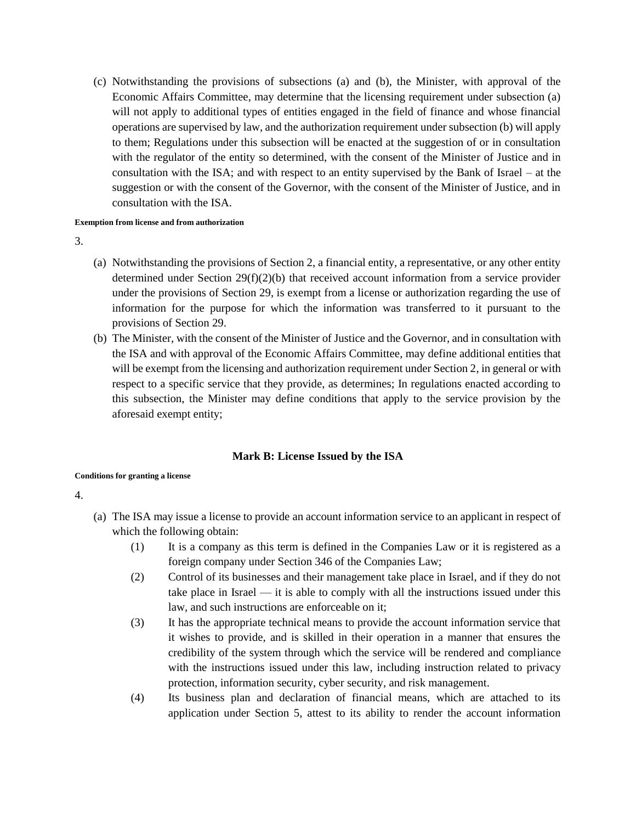(c) Notwithstanding the provisions of subsections (a) and (b), the Minister, with approval of the Economic Affairs Committee, may determine that the licensing requirement under subsection (a) will not apply to additional types of entities engaged in the field of finance and whose financial operations are supervised by law, and the authorization requirement under subsection (b) will apply to them; Regulations under this subsection will be enacted at the suggestion of or in consultation with the regulator of the entity so determined, with the consent of the Minister of Justice and in consultation with the ISA; and with respect to an entity supervised by the Bank of Israel – at the suggestion or with the consent of the Governor, with the consent of the Minister of Justice, and in consultation with the ISA.

#### **Exemption from license and from authorization**

3.

- (a) Notwithstanding the provisions of Section 2, a financial entity, a representative, or any other entity determined under Section 29(f)(2)(b) that received account information from a service provider under the provisions of Section 29, is exempt from a license or authorization regarding the use of information for the purpose for which the information was transferred to it pursuant to the provisions of Section 29.
- (b) The Minister, with the consent of the Minister of Justice and the Governor, and in consultation with the ISA and with approval of the Economic Affairs Committee, may define additional entities that will be exempt from the licensing and authorization requirement under Section 2, in general or with respect to a specific service that they provide, as determines; In regulations enacted according to this subsection, the Minister may define conditions that apply to the service provision by the aforesaid exempt entity;

## **Mark B: License Issued by the ISA**

### **Conditions for granting a license**

- (a) The ISA may issue a license to provide an account information service to an applicant in respect of which the following obtain:
	- (1) It is a company as this term is defined in the Companies Law or it is registered as a foreign company under Section 346 of the Companies Law;
	- (2) Control of its businesses and their management take place in Israel, and if they do not take place in Israel — it is able to comply with all the instructions issued under this law, and such instructions are enforceable on it;
	- (3) It has the appropriate technical means to provide the account information service that it wishes to provide, and is skilled in their operation in a manner that ensures the credibility of the system through which the service will be rendered and compliance with the instructions issued under this law, including instruction related to privacy protection, information security, cyber security, and risk management.
	- (4) Its business plan and declaration of financial means, which are attached to its application under Section 5, attest to its ability to render the account information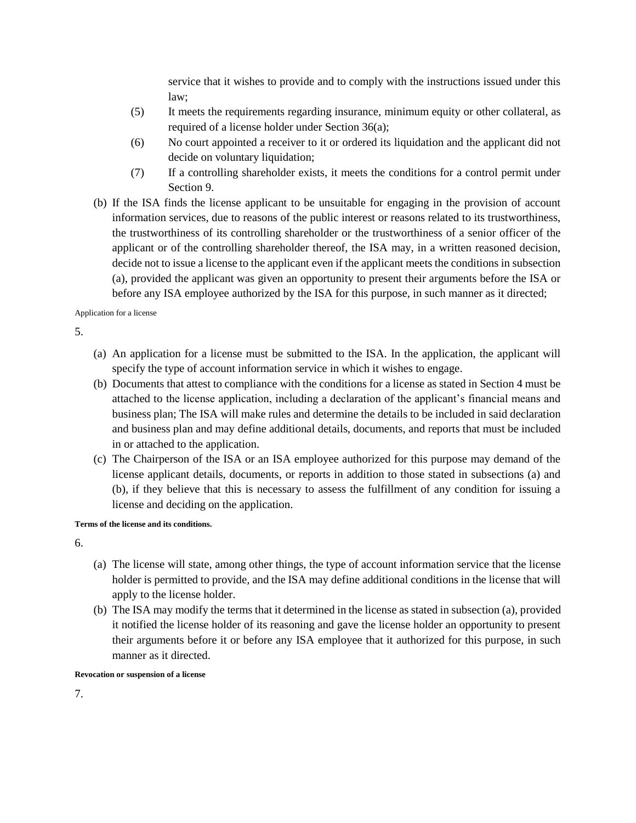service that it wishes to provide and to comply with the instructions issued under this law;

- (5) It meets the requirements regarding insurance, minimum equity or other collateral, as required of a license holder under Section 36(a);
- (6) No court appointed a receiver to it or ordered its liquidation and the applicant did not decide on voluntary liquidation;
- (7) If a controlling shareholder exists, it meets the conditions for a control permit under Section 9.
- (b) If the ISA finds the license applicant to be unsuitable for engaging in the provision of account information services, due to reasons of the public interest or reasons related to its trustworthiness, the trustworthiness of its controlling shareholder or the trustworthiness of a senior officer of the applicant or of the controlling shareholder thereof, the ISA may, in a written reasoned decision, decide not to issue a license to the applicant even if the applicant meets the conditions in subsection (a), provided the applicant was given an opportunity to present their arguments before the ISA or before any ISA employee authorized by the ISA for this purpose, in such manner as it directed;

Application for a license

5.

- (a) An application for a license must be submitted to the ISA. In the application, the applicant will specify the type of account information service in which it wishes to engage.
- (b) Documents that attest to compliance with the conditions for a license as stated in Section 4 must be attached to the license application, including a declaration of the applicant's financial means and business plan; The ISA will make rules and determine the details to be included in said declaration and business plan and may define additional details, documents, and reports that must be included in or attached to the application.
- (c) The Chairperson of the ISA or an ISA employee authorized for this purpose may demand of the license applicant details, documents, or reports in addition to those stated in subsections (a) and (b), if they believe that this is necessary to assess the fulfillment of any condition for issuing a license and deciding on the application.

### **Terms of the license and its conditions.**

6.

- (a) The license will state, among other things, the type of account information service that the license holder is permitted to provide, and the ISA may define additional conditions in the license that will apply to the license holder.
- (b) The ISA may modify the terms that it determined in the license as stated in subsection (a), provided it notified the license holder of its reasoning and gave the license holder an opportunity to present their arguments before it or before any ISA employee that it authorized for this purpose, in such manner as it directed.

**Revocation or suspension of a license**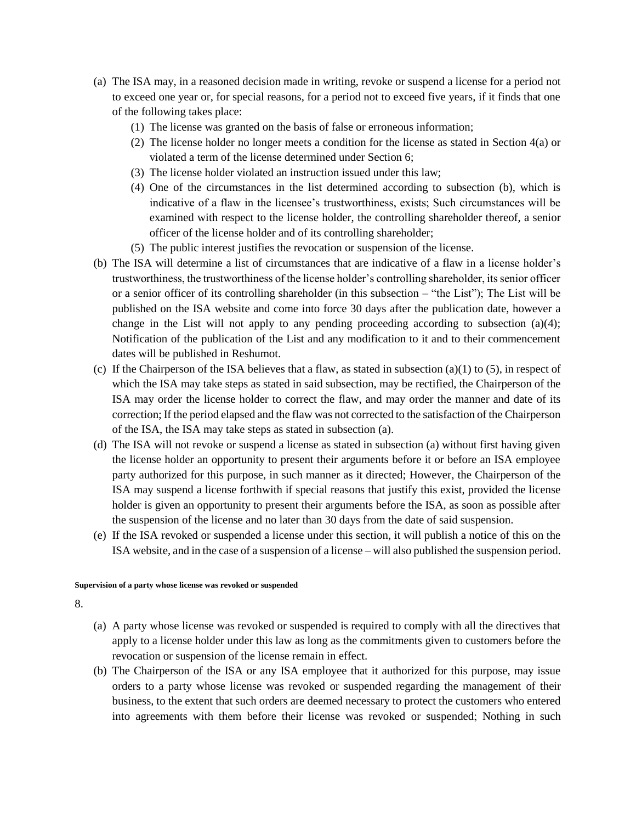- (a) The ISA may, in a reasoned decision made in writing, revoke or suspend a license for a period not to exceed one year or, for special reasons, for a period not to exceed five years, if it finds that one of the following takes place:
	- (1) The license was granted on the basis of false or erroneous information;
	- (2) The license holder no longer meets a condition for the license as stated in Section 4(a) or violated a term of the license determined under Section 6;
	- (3) The license holder violated an instruction issued under this law;
	- (4) One of the circumstances in the list determined according to subsection (b), which is indicative of a flaw in the licensee's trustworthiness, exists; Such circumstances will be examined with respect to the license holder, the controlling shareholder thereof, a senior officer of the license holder and of its controlling shareholder;
	- (5) The public interest justifies the revocation or suspension of the license.
- (b) The ISA will determine a list of circumstances that are indicative of a flaw in a license holder's trustworthiness, the trustworthiness of the license holder's controlling shareholder, its senior officer or a senior officer of its controlling shareholder (in this subsection – "the List"); The List will be published on the ISA website and come into force 30 days after the publication date, however a change in the List will not apply to any pending proceeding according to subsection (a)(4); Notification of the publication of the List and any modification to it and to their commencement dates will be published in Reshumot.
- (c) If the Chairperson of the ISA believes that a flaw, as stated in subsection (a)(1) to (5), in respect of which the ISA may take steps as stated in said subsection, may be rectified, the Chairperson of the ISA may order the license holder to correct the flaw, and may order the manner and date of its correction; If the period elapsed and the flaw was not corrected to the satisfaction of the Chairperson of the ISA, the ISA may take steps as stated in subsection (a).
- (d) The ISA will not revoke or suspend a license as stated in subsection (a) without first having given the license holder an opportunity to present their arguments before it or before an ISA employee party authorized for this purpose, in such manner as it directed; However, the Chairperson of the ISA may suspend a license forthwith if special reasons that justify this exist, provided the license holder is given an opportunity to present their arguments before the ISA, as soon as possible after the suspension of the license and no later than 30 days from the date of said suspension.
- (e) If the ISA revoked or suspended a license under this section, it will publish a notice of this on the ISA website, and in the case of a suspension of a license – will also published the suspension period.

#### **Supervision of a party whose license was revoked or suspended**

- (a) A party whose license was revoked or suspended is required to comply with all the directives that apply to a license holder under this law as long as the commitments given to customers before the revocation or suspension of the license remain in effect.
- (b) The Chairperson of the ISA or any ISA employee that it authorized for this purpose, may issue orders to a party whose license was revoked or suspended regarding the management of their business, to the extent that such orders are deemed necessary to protect the customers who entered into agreements with them before their license was revoked or suspended; Nothing in such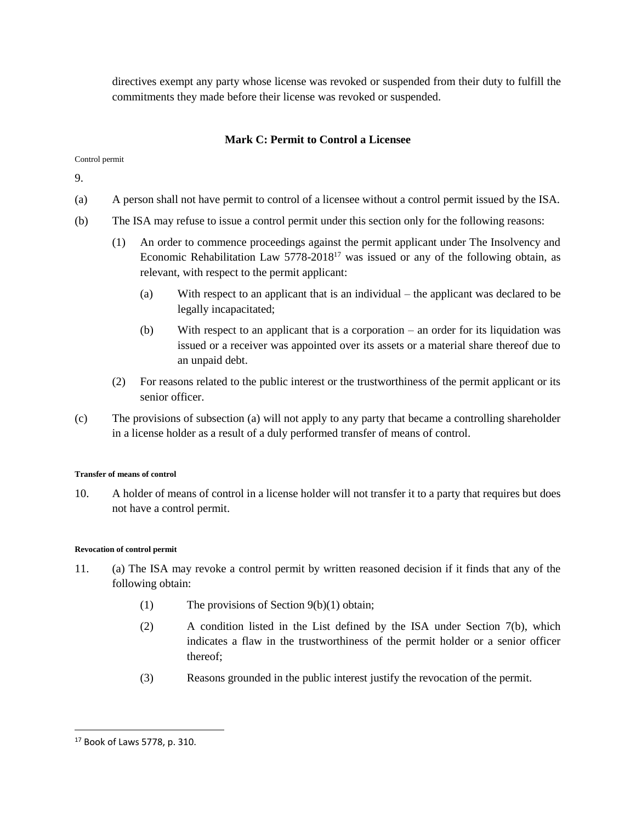directives exempt any party whose license was revoked or suspended from their duty to fulfill the commitments they made before their license was revoked or suspended.

# **Mark C: Permit to Control a Licensee**

Control permit

9.

- (a) A person shall not have permit to control of a licensee without a control permit issued by the ISA.
- (b) The ISA may refuse to issue a control permit under this section only for the following reasons:
	- (1) An order to commence proceedings against the permit applicant under The Insolvency and Economic Rehabilitation Law 5778-2018<sup>17</sup> was issued or any of the following obtain, as relevant, with respect to the permit applicant:
		- (a) With respect to an applicant that is an individual the applicant was declared to be legally incapacitated;
		- (b) With respect to an applicant that is a corporation an order for its liquidation was issued or a receiver was appointed over its assets or a material share thereof due to an unpaid debt.
	- (2) For reasons related to the public interest or the trustworthiness of the permit applicant or its senior officer.
- (c) The provisions of subsection (a) will not apply to any party that became a controlling shareholder in a license holder as a result of a duly performed transfer of means of control.

### **Transfer of means of control**

10. A holder of means of control in a license holder will not transfer it to a party that requires but does not have a control permit.

### **Revocation of control permit**

- 11. (a) The ISA may revoke a control permit by written reasoned decision if it finds that any of the following obtain:
	- (1) The provisions of Section 9(b)(1) obtain;
	- (2) A condition listed in the List defined by the ISA under Section 7(b), which indicates a flaw in the trustworthiness of the permit holder or a senior officer thereof;
	- (3) Reasons grounded in the public interest justify the revocation of the permit.

 $\overline{\phantom{a}}$ 

<sup>17</sup> Book of Laws 5778, p. 310.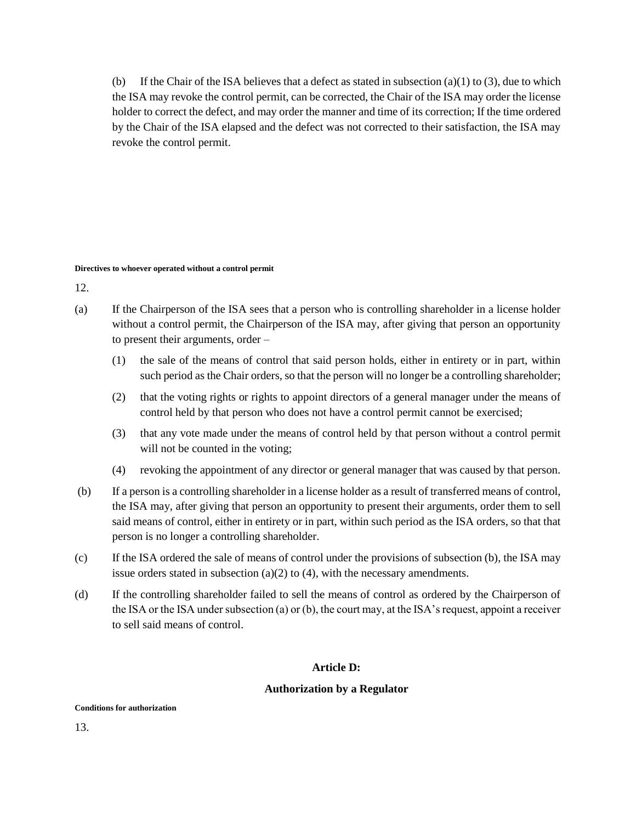(b) If the Chair of the ISA believes that a defect as stated in subsection (a)(1) to (3), due to which the ISA may revoke the control permit, can be corrected, the Chair of the ISA may order the license holder to correct the defect, and may order the manner and time of its correction; If the time ordered by the Chair of the ISA elapsed and the defect was not corrected to their satisfaction, the ISA may revoke the control permit.

#### **Directives to whoever operated without a control permit**

12.

- (a) If the Chairperson of the ISA sees that a person who is controlling shareholder in a license holder without a control permit, the Chairperson of the ISA may, after giving that person an opportunity to present their arguments, order –
	- (1) the sale of the means of control that said person holds, either in entirety or in part, within such period as the Chair orders, so that the person will no longer be a controlling shareholder;
	- (2) that the voting rights or rights to appoint directors of a general manager under the means of control held by that person who does not have a control permit cannot be exercised;
	- (3) that any vote made under the means of control held by that person without a control permit will not be counted in the voting;
	- (4) revoking the appointment of any director or general manager that was caused by that person.
- (b) If a person is a controlling shareholder in a license holder as a result of transferred means of control, the ISA may, after giving that person an opportunity to present their arguments, order them to sell said means of control, either in entirety or in part, within such period as the ISA orders, so that that person is no longer a controlling shareholder.
- (c) If the ISA ordered the sale of means of control under the provisions of subsection (b), the ISA may issue orders stated in subsection (a)(2) to (4), with the necessary amendments.
- (d) If the controlling shareholder failed to sell the means of control as ordered by the Chairperson of the ISA or the ISA under subsection (a) or (b), the court may, at the ISA's request, appoint a receiver to sell said means of control.

## **Article D:**

## **Authorization by a Regulator**

#### **Conditions for authorization**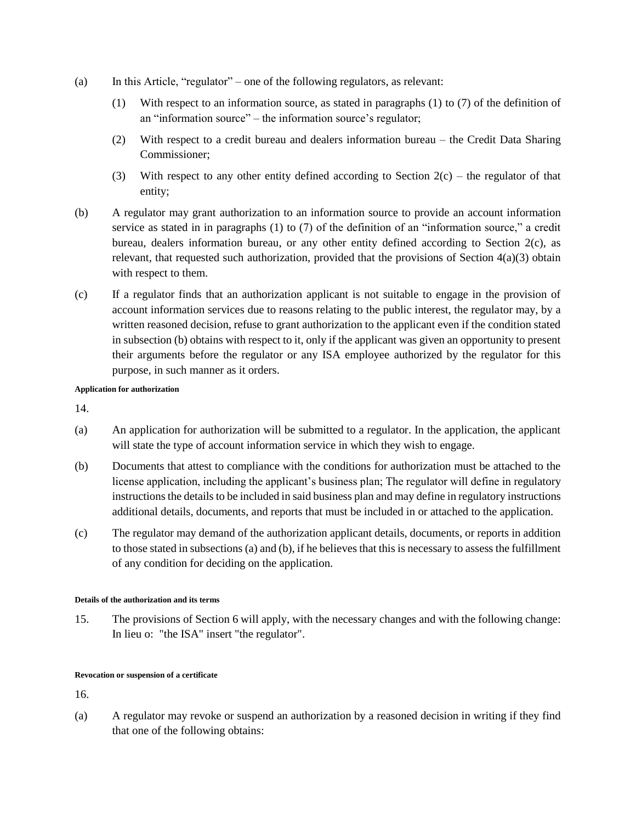- (a) In this Article, "regulator" one of the following regulators, as relevant:
	- (1) With respect to an information source, as stated in paragraphs (1) to (7) of the definition of an "information source" – the information source's regulator;
	- (2) With respect to a credit bureau and dealers information bureau the Credit Data Sharing Commissioner;
	- (3) With respect to any other entity defined according to Section  $2(c)$  the regulator of that entity;
- (b) A regulator may grant authorization to an information source to provide an account information service as stated in in paragraphs (1) to (7) of the definition of an "information source," a credit bureau, dealers information bureau, or any other entity defined according to Section 2(c), as relevant, that requested such authorization, provided that the provisions of Section  $4(a)(3)$  obtain with respect to them.
- (c) If a regulator finds that an authorization applicant is not suitable to engage in the provision of account information services due to reasons relating to the public interest, the regulator may, by a written reasoned decision, refuse to grant authorization to the applicant even if the condition stated in subsection (b) obtains with respect to it, only if the applicant was given an opportunity to present their arguments before the regulator or any ISA employee authorized by the regulator for this purpose, in such manner as it orders.

### **Application for authorization**

14.

- (a) An application for authorization will be submitted to a regulator. In the application, the applicant will state the type of account information service in which they wish to engage.
- (b) Documents that attest to compliance with the conditions for authorization must be attached to the license application, including the applicant's business plan; The regulator will define in regulatory instructionsthe details to be included in said business plan and may define in regulatory instructions additional details, documents, and reports that must be included in or attached to the application.
- (c) The regulator may demand of the authorization applicant details, documents, or reports in addition to those stated in subsections (a) and (b), if he believes that this is necessary to assess the fulfillment of any condition for deciding on the application.

### **Details of the authorization and its terms**

15. The provisions of Section 6 will apply, with the necessary changes and with the following change: In lieu o: "the ISA" insert "the regulator".

### **Revocation or suspension of a certificate**

16.

(a) A regulator may revoke or suspend an authorization by a reasoned decision in writing if they find that one of the following obtains: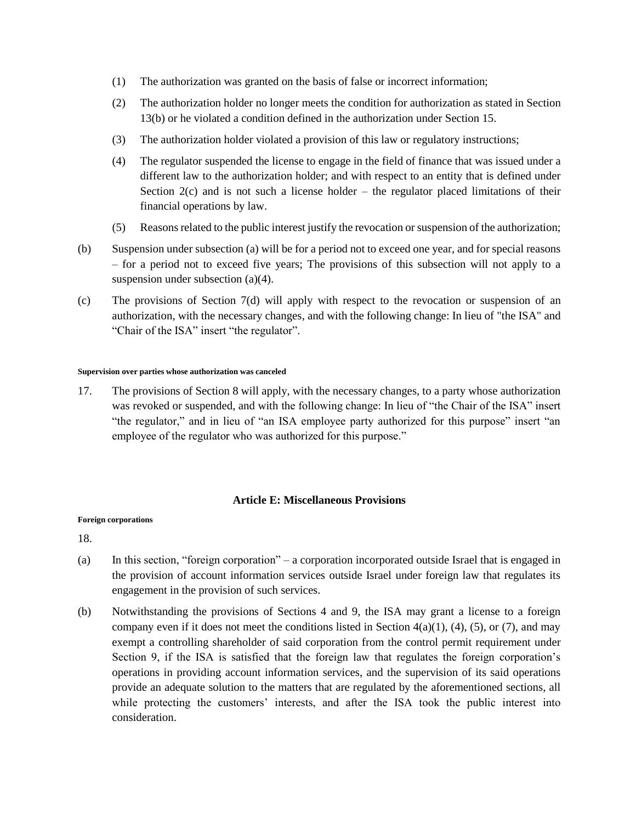- (1) The authorization was granted on the basis of false or incorrect information;
- (2) The authorization holder no longer meets the condition for authorization as stated in Section 13(b) or he violated a condition defined in the authorization under Section 15.
- (3) The authorization holder violated a provision of this law or regulatory instructions;
- (4) The regulator suspended the license to engage in the field of finance that was issued under a different law to the authorization holder; and with respect to an entity that is defined under Section  $2(c)$  and is not such a license holder – the regulator placed limitations of their financial operations by law.
- (5) Reasons related to the public interest justify the revocation or suspension of the authorization;
- (b) Suspension under subsection (a) will be for a period not to exceed one year, and for special reasons – for a period not to exceed five years; The provisions of this subsection will not apply to a suspension under subsection (a)(4).
- (c) The provisions of Section 7(d) will apply with respect to the revocation or suspension of an authorization, with the necessary changes, and with the following change: In lieu of "the ISA" and "Chair of the ISA" insert "the regulator".

#### **Supervision over parties whose authorization was canceled**

17. The provisions of Section 8 will apply, with the necessary changes, to a party whose authorization was revoked or suspended, and with the following change: In lieu of "the Chair of the ISA" insert "the regulator," and in lieu of "an ISA employee party authorized for this purpose" insert "an employee of the regulator who was authorized for this purpose."

## **Article E: Miscellaneous Provisions**

### **Foreign corporations**

- (a) In this section, "foreign corporation" a corporation incorporated outside Israel that is engaged in the provision of account information services outside Israel under foreign law that regulates its engagement in the provision of such services.
- (b) Notwithstanding the provisions of Sections 4 and 9, the ISA may grant a license to a foreign company even if it does not meet the conditions listed in Section  $4(a)(1)$ ,  $(4)$ ,  $(5)$ , or  $(7)$ , and may exempt a controlling shareholder of said corporation from the control permit requirement under Section 9, if the ISA is satisfied that the foreign law that regulates the foreign corporation's operations in providing account information services, and the supervision of its said operations provide an adequate solution to the matters that are regulated by the aforementioned sections, all while protecting the customers' interests, and after the ISA took the public interest into consideration.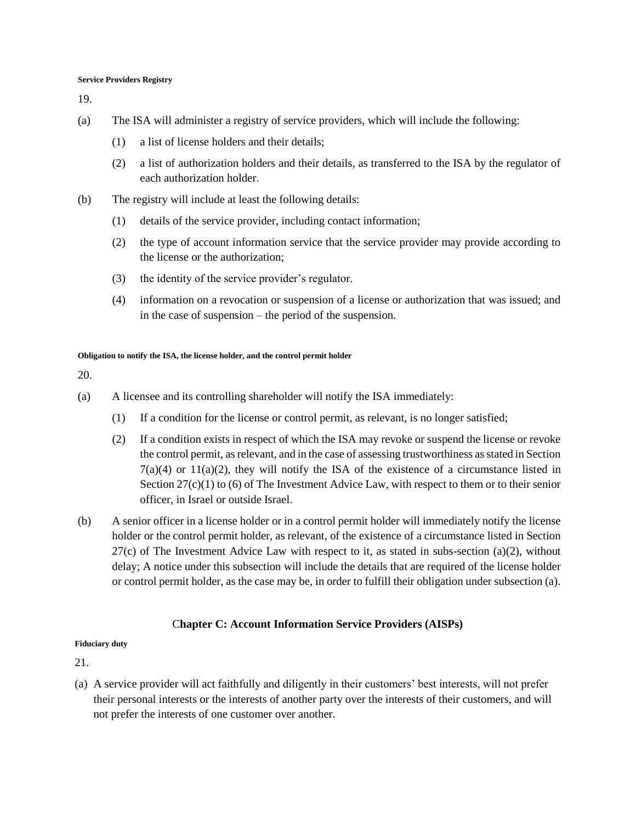#### **Service Providers Registry**

19.

- (a) The ISA will administer a registry of service providers, which will include the following:
	- (1) a list of license holders and their details;
	- (2) a list of authorization holders and their details, as transferred to the ISA by the regulator of each authorization holder.
- (b) The registry will include at least the following details:
	- (1) details of the service provider, including contact information;
	- (2) the type of account information service that the service provider may provide according to the license or the authorization;
	- (3) the identity of the service provider's regulator.
	- (4) information on a revocation or suspension of a license or authorization that was issued; and in the case of suspension – the period of the suspension.

#### **Obligation to notify the ISA, the license holder, and the control permit holder**

20.

- (a) A licensee and its controlling shareholder will notify the ISA immediately:
	- (1) If a condition for the license or control permit, as relevant, is no longer satisfied;
	- (2) If a condition exists in respect of which the ISA may revoke or suspend the license or revoke the control permit, as relevant, and in the case of assessing trustworthiness as stated in Section  $7(a)(4)$  or  $11(a)(2)$ , they will notify the ISA of the existence of a circumstance listed in Section  $27(c)(1)$  to (6) of The Investment Advice Law, with respect to them or to their senior officer, in Israel or outside Israel.
- (b) A senior officer in a license holder or in a control permit holder will immediately notify the license holder or the control permit holder, as relevant, of the existence of a circumstance listed in Section  $27(c)$  of The Investment Advice Law with respect to it, as stated in subs-section (a)(2), without delay; A notice under this subsection will include the details that are required of the license holder or control permit holder, as the case may be, in order to fulfill their obligation under subsection (a).

### C**hapter C: Account Information Service Providers (AISPs)**

#### **Fiduciary duty**

21.

(a) A service provider will act faithfully and diligently in their customers' best interests, will not prefer their personal interests or the interests of another party over the interests of their customers, and will not prefer the interests of one customer over another.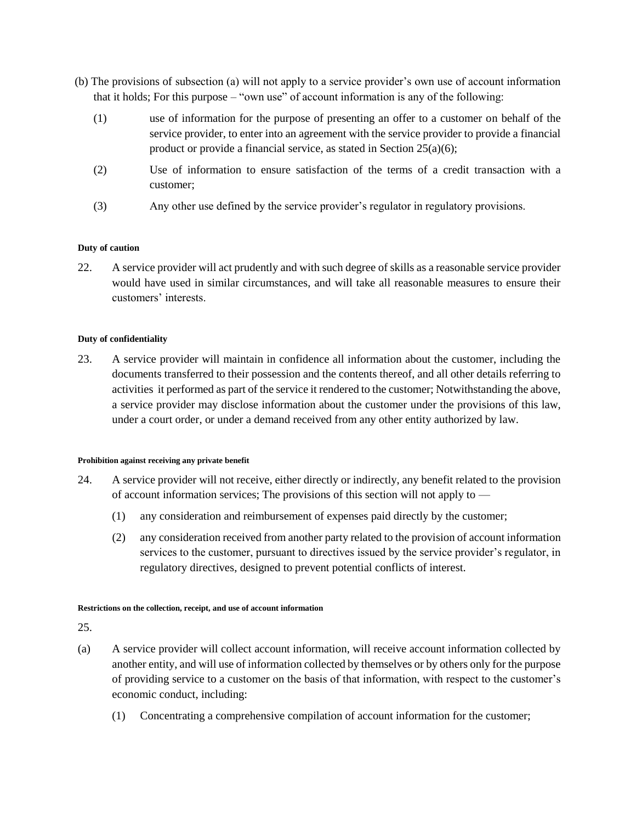- (b) The provisions of subsection (a) will not apply to a service provider's own use of account information that it holds; For this purpose – "own use" of account information is any of the following:
	- (1) use of information for the purpose of presenting an offer to a customer on behalf of the service provider, to enter into an agreement with the service provider to provide a financial product or provide a financial service, as stated in Section 25(a)(6);
	- (2) Use of information to ensure satisfaction of the terms of a credit transaction with a customer;
	- (3) Any other use defined by the service provider's regulator in regulatory provisions.

### **Duty of caution**

22. A service provider will act prudently and with such degree of skills as a reasonable service provider would have used in similar circumstances, and will take all reasonable measures to ensure their customers' interests.

### **Duty of confidentiality**

23. A service provider will maintain in confidence all information about the customer, including the documents transferred to their possession and the contents thereof, and all other details referring to activities it performed as part of the service it rendered to the customer; Notwithstanding the above, a service provider may disclose information about the customer under the provisions of this law, under a court order, or under a demand received from any other entity authorized by law.

### **Prohibition against receiving any private benefit**

- 24. A service provider will not receive, either directly or indirectly, any benefit related to the provision of account information services; The provisions of this section will not apply to —
	- (1) any consideration and reimbursement of expenses paid directly by the customer;
	- (2) any consideration received from another party related to the provision of account information services to the customer, pursuant to directives issued by the service provider's regulator, in regulatory directives, designed to prevent potential conflicts of interest.

### **Restrictions on the collection, receipt, and use of account information**

- (a) A service provider will collect account information, will receive account information collected by another entity, and will use of information collected by themselves or by others only for the purpose of providing service to a customer on the basis of that information, with respect to the customer's economic conduct, including:
	- (1) Concentrating a comprehensive compilation of account information for the customer;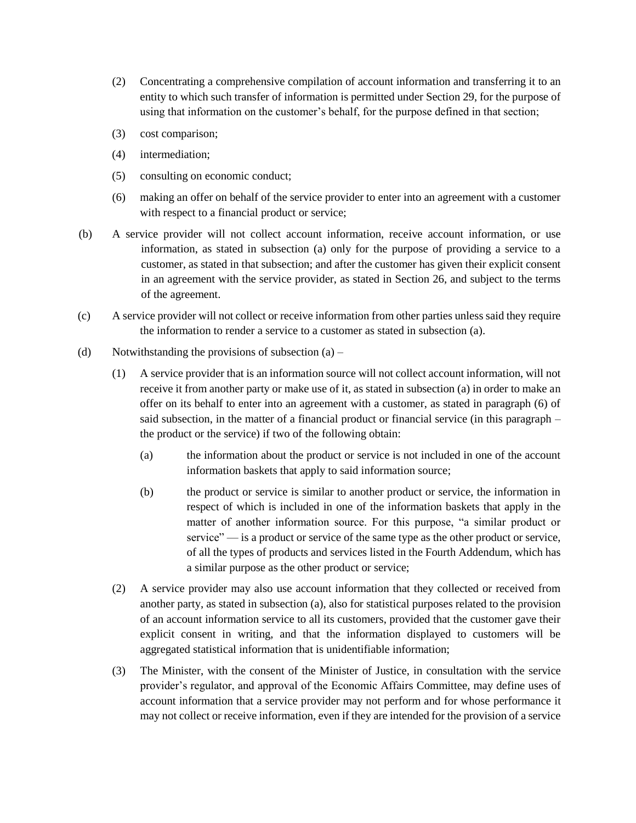- (2) Concentrating a comprehensive compilation of account information and transferring it to an entity to which such transfer of information is permitted under Section 29, for the purpose of using that information on the customer's behalf, for the purpose defined in that section;
- (3) cost comparison;
- (4) intermediation;
- (5) consulting on economic conduct;
- (6) making an offer on behalf of the service provider to enter into an agreement with a customer with respect to a financial product or service;
- (b) A service provider will not collect account information, receive account information, or use information, as stated in subsection (a) only for the purpose of providing a service to a customer, as stated in that subsection; and after the customer has given their explicit consent in an agreement with the service provider, as stated in Section 26, and subject to the terms of the agreement.
- (c) A service provider will not collect or receive information from other parties unless said they require the information to render a service to a customer as stated in subsection (a).
- (d) Notwithstanding the provisions of subsection  $(a)$ 
	- (1) A service provider that is an information source will not collect account information, will not receive it from another party or make use of it, as stated in subsection (a) in order to make an offer on its behalf to enter into an agreement with a customer, as stated in paragraph (6) of said subsection, in the matter of a financial product or financial service (in this paragraph – the product or the service) if two of the following obtain:
		- (a) the information about the product or service is not included in one of the account information baskets that apply to said information source;
		- (b) the product or service is similar to another product or service, the information in respect of which is included in one of the information baskets that apply in the matter of another information source. For this purpose, "a similar product or service" — is a product or service of the same type as the other product or service, of all the types of products and services listed in the Fourth Addendum, which has a similar purpose as the other product or service;
	- (2) A service provider may also use account information that they collected or received from another party, as stated in subsection (a), also for statistical purposes related to the provision of an account information service to all its customers, provided that the customer gave their explicit consent in writing, and that the information displayed to customers will be aggregated statistical information that is unidentifiable information;
	- (3) The Minister, with the consent of the Minister of Justice, in consultation with the service provider's regulator, and approval of the Economic Affairs Committee, may define uses of account information that a service provider may not perform and for whose performance it may not collect or receive information, even if they are intended for the provision of a service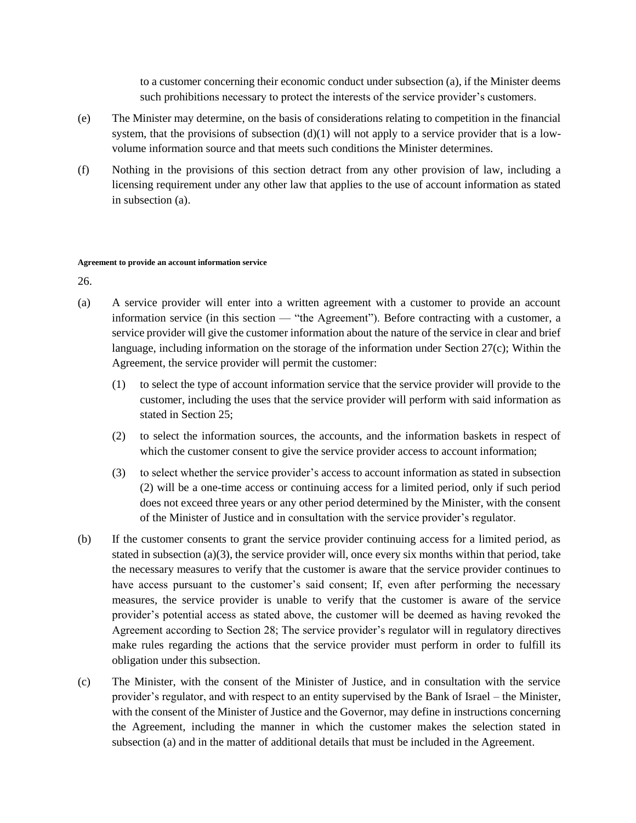to a customer concerning their economic conduct under subsection (a), if the Minister deems such prohibitions necessary to protect the interests of the service provider's customers.

- (e) The Minister may determine, on the basis of considerations relating to competition in the financial system, that the provisions of subsection  $(d)(1)$  will not apply to a service provider that is a lowvolume information source and that meets such conditions the Minister determines.
- (f) Nothing in the provisions of this section detract from any other provision of law, including a licensing requirement under any other law that applies to the use of account information as stated in subsection (a).

#### **Agreement to provide an account information service**

- (a) A service provider will enter into a written agreement with a customer to provide an account information service (in this section — "the Agreement"). Before contracting with a customer, a service provider will give the customer information about the nature of the service in clear and brief language, including information on the storage of the information under Section 27(c); Within the Agreement, the service provider will permit the customer:
	- (1) to select the type of account information service that the service provider will provide to the customer, including the uses that the service provider will perform with said information as stated in Section 25;
	- (2) to select the information sources, the accounts, and the information baskets in respect of which the customer consent to give the service provider access to account information;
	- (3) to select whether the service provider's access to account information as stated in subsection (2) will be a one-time access or continuing access for a limited period, only if such period does not exceed three years or any other period determined by the Minister, with the consent of the Minister of Justice and in consultation with the service provider's regulator.
- (b) If the customer consents to grant the service provider continuing access for a limited period, as stated in subsection (a)(3), the service provider will, once every six months within that period, take the necessary measures to verify that the customer is aware that the service provider continues to have access pursuant to the customer's said consent; If, even after performing the necessary measures, the service provider is unable to verify that the customer is aware of the service provider's potential access as stated above, the customer will be deemed as having revoked the Agreement according to Section 28; The service provider's regulator will in regulatory directives make rules regarding the actions that the service provider must perform in order to fulfill its obligation under this subsection.
- (c) The Minister, with the consent of the Minister of Justice, and in consultation with the service provider's regulator, and with respect to an entity supervised by the Bank of Israel – the Minister, with the consent of the Minister of Justice and the Governor, may define in instructions concerning the Agreement, including the manner in which the customer makes the selection stated in subsection (a) and in the matter of additional details that must be included in the Agreement.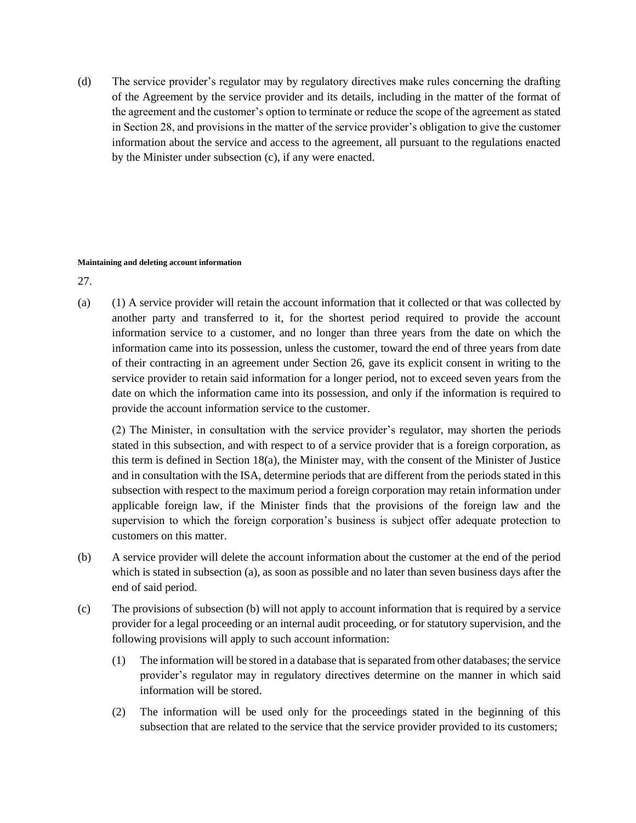(d) The service provider's regulator may by regulatory directives make rules concerning the drafting of the Agreement by the service provider and its details, including in the matter of the format of the agreement and the customer's option to terminate or reduce the scope of the agreement as stated in Section 28, and provisions in the matter of the service provider's obligation to give the customer information about the service and access to the agreement, all pursuant to the regulations enacted by the Minister under subsection (c), if any were enacted.

#### **Maintaining and deleting account information**

27.

(a) (1) A service provider will retain the account information that it collected or that was collected by another party and transferred to it, for the shortest period required to provide the account information service to a customer, and no longer than three years from the date on which the information came into its possession, unless the customer, toward the end of three years from date of their contracting in an agreement under Section 26, gave its explicit consent in writing to the service provider to retain said information for a longer period, not to exceed seven years from the date on which the information came into its possession, and only if the information is required to provide the account information service to the customer.

(2) The Minister, in consultation with the service provider's regulator, may shorten the periods stated in this subsection, and with respect to of a service provider that is a foreign corporation, as this term is defined in Section 18(a), the Minister may, with the consent of the Minister of Justice and in consultation with the ISA, determine periods that are different from the periods stated in this subsection with respect to the maximum period a foreign corporation may retain information under applicable foreign law, if the Minister finds that the provisions of the foreign law and the supervision to which the foreign corporation's business is subject offer adequate protection to customers on this matter.

- (b) A service provider will delete the account information about the customer at the end of the period which is stated in subsection (a), as soon as possible and no later than seven business days after the end of said period.
- (c) The provisions of subsection (b) will not apply to account information that is required by a service provider for a legal proceeding or an internal audit proceeding, or for statutory supervision, and the following provisions will apply to such account information:
	- (1) The information will be stored in a database that is separated from other databases; the service provider's regulator may in regulatory directives determine on the manner in which said information will be stored.
	- (2) The information will be used only for the proceedings stated in the beginning of this subsection that are related to the service that the service provider provided to its customers;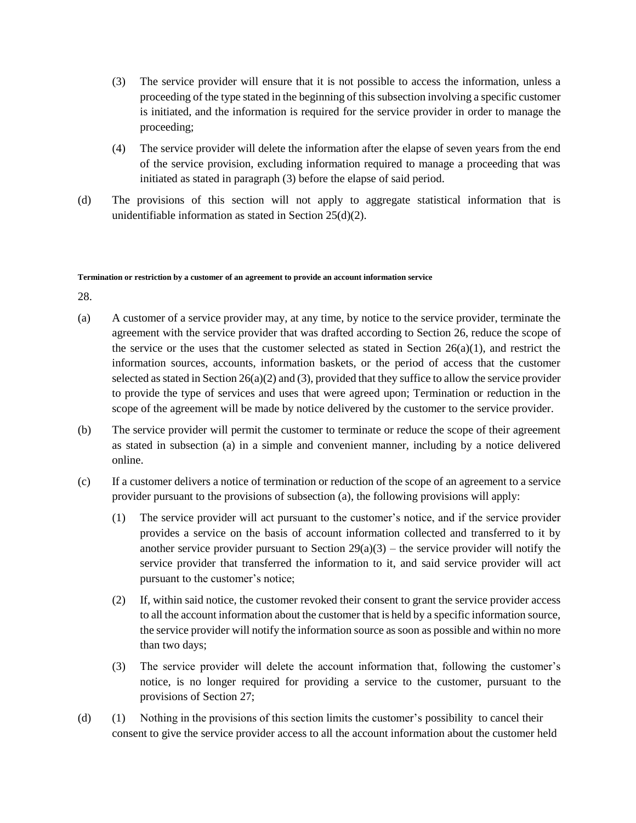- (3) The service provider will ensure that it is not possible to access the information, unless a proceeding of the type stated in the beginning of this subsection involving a specific customer is initiated, and the information is required for the service provider in order to manage the proceeding;
- (4) The service provider will delete the information after the elapse of seven years from the end of the service provision, excluding information required to manage a proceeding that was initiated as stated in paragraph (3) before the elapse of said period.
- (d) The provisions of this section will not apply to aggregate statistical information that is unidentifiable information as stated in Section 25(d)(2).

#### **Termination or restriction by a customer of an agreement to provide an account information service**

- (a) A customer of a service provider may, at any time, by notice to the service provider, terminate the agreement with the service provider that was drafted according to Section 26, reduce the scope of the service or the uses that the customer selected as stated in Section  $26(a)(1)$ , and restrict the information sources, accounts, information baskets, or the period of access that the customer selected as stated in Section 26(a)(2) and (3), provided that they suffice to allow the service provider to provide the type of services and uses that were agreed upon; Termination or reduction in the scope of the agreement will be made by notice delivered by the customer to the service provider.
- (b) The service provider will permit the customer to terminate or reduce the scope of their agreement as stated in subsection (a) in a simple and convenient manner, including by a notice delivered online.
- (c) If a customer delivers a notice of termination or reduction of the scope of an agreement to a service provider pursuant to the provisions of subsection (a), the following provisions will apply:
	- (1) The service provider will act pursuant to the customer's notice, and if the service provider provides a service on the basis of account information collected and transferred to it by another service provider pursuant to Section  $29(a)(3)$  – the service provider will notify the service provider that transferred the information to it, and said service provider will act pursuant to the customer's notice;
	- (2) If, within said notice, the customer revoked their consent to grant the service provider access to all the account information about the customer that is held by a specific information source, the service provider will notify the information source as soon as possible and within no more than two days;
	- (3) The service provider will delete the account information that, following the customer's notice, is no longer required for providing a service to the customer, pursuant to the provisions of Section 27;
- (d) (1) Nothing in the provisions of this section limits the customer's possibility to cancel their consent to give the service provider access to all the account information about the customer held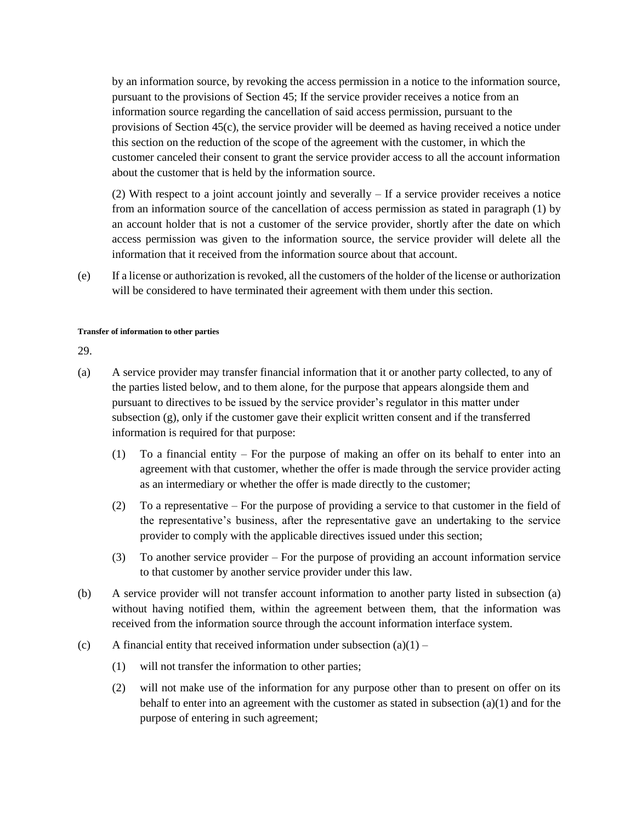by an information source, by revoking the access permission in a notice to the information source, pursuant to the provisions of Section 45; If the service provider receives a notice from an information source regarding the cancellation of said access permission, pursuant to the provisions of Section 45(c), the service provider will be deemed as having received a notice under this section on the reduction of the scope of the agreement with the customer, in which the customer canceled their consent to grant the service provider access to all the account information about the customer that is held by the information source.

(2) With respect to a joint account jointly and severally – If a service provider receives a notice from an information source of the cancellation of access permission as stated in paragraph (1) by an account holder that is not a customer of the service provider, shortly after the date on which access permission was given to the information source, the service provider will delete all the information that it received from the information source about that account.

(e) If a license or authorization is revoked, all the customers of the holder of the license or authorization will be considered to have terminated their agreement with them under this section.

#### **Transfer of information to other parties**

- (a) A service provider may transfer financial information that it or another party collected, to any of the parties listed below, and to them alone, for the purpose that appears alongside them and pursuant to directives to be issued by the service provider's regulator in this matter under subsection (g), only if the customer gave their explicit written consent and if the transferred information is required for that purpose:
	- (1) To a financial entity For the purpose of making an offer on its behalf to enter into an agreement with that customer, whether the offer is made through the service provider acting as an intermediary or whether the offer is made directly to the customer;
	- (2) To a representative For the purpose of providing a service to that customer in the field of the representative's business, after the representative gave an undertaking to the service provider to comply with the applicable directives issued under this section;
	- (3) To another service provider For the purpose of providing an account information service to that customer by another service provider under this law.
- (b) A service provider will not transfer account information to another party listed in subsection (a) without having notified them, within the agreement between them, that the information was received from the information source through the account information interface system.
- (c) A financial entity that received information under subsection  $(a)(1)$ 
	- (1) will not transfer the information to other parties;
	- (2) will not make use of the information for any purpose other than to present on offer on its behalf to enter into an agreement with the customer as stated in subsection (a)(1) and for the purpose of entering in such agreement;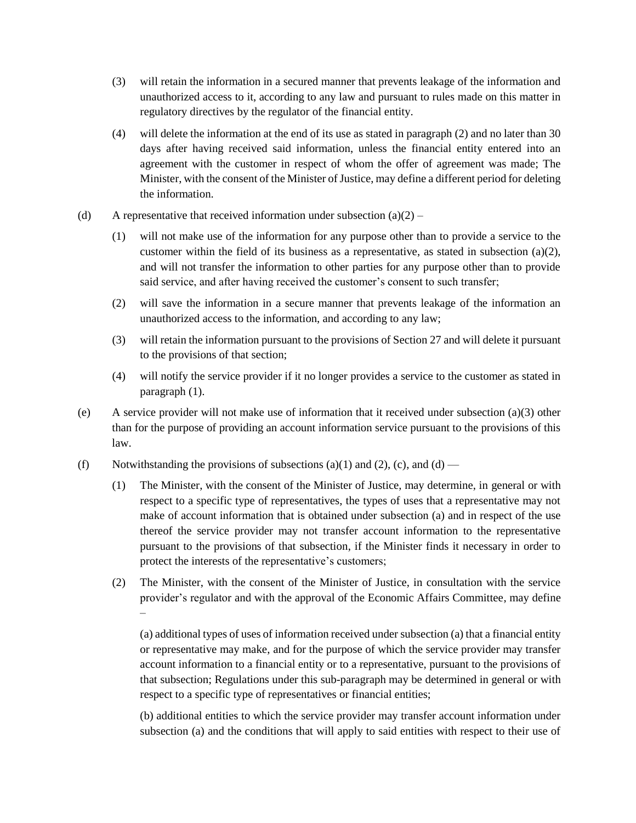- (3) will retain the information in a secured manner that prevents leakage of the information and unauthorized access to it, according to any law and pursuant to rules made on this matter in regulatory directives by the regulator of the financial entity.
- (4) will delete the information at the end of its use as stated in paragraph (2) and no later than 30 days after having received said information, unless the financial entity entered into an agreement with the customer in respect of whom the offer of agreement was made; The Minister, with the consent of the Minister of Justice, may define a different period for deleting the information.
- (d) A representative that received information under subsection  $(a)(2)$ 
	- (1) will not make use of the information for any purpose other than to provide a service to the customer within the field of its business as a representative, as stated in subsection (a)(2), and will not transfer the information to other parties for any purpose other than to provide said service, and after having received the customer's consent to such transfer;
	- (2) will save the information in a secure manner that prevents leakage of the information an unauthorized access to the information, and according to any law;
	- (3) will retain the information pursuant to the provisions of Section 27 and will delete it pursuant to the provisions of that section;
	- (4) will notify the service provider if it no longer provides a service to the customer as stated in paragraph (1).
- (e) A service provider will not make use of information that it received under subsection (a)(3) other than for the purpose of providing an account information service pursuant to the provisions of this law.
- (f) Notwithstanding the provisions of subsections (a)(1) and (2), (c), and (d)
	- (1) The Minister, with the consent of the Minister of Justice, may determine, in general or with respect to a specific type of representatives, the types of uses that a representative may not make of account information that is obtained under subsection (a) and in respect of the use thereof the service provider may not transfer account information to the representative pursuant to the provisions of that subsection, if the Minister finds it necessary in order to protect the interests of the representative's customers;
	- (2) The Minister, with the consent of the Minister of Justice, in consultation with the service provider's regulator and with the approval of the Economic Affairs Committee, may define –

(a) additional types of uses of information received under subsection (a) that a financial entity or representative may make, and for the purpose of which the service provider may transfer account information to a financial entity or to a representative, pursuant to the provisions of that subsection; Regulations under this sub-paragraph may be determined in general or with respect to a specific type of representatives or financial entities;

(b) additional entities to which the service provider may transfer account information under subsection (a) and the conditions that will apply to said entities with respect to their use of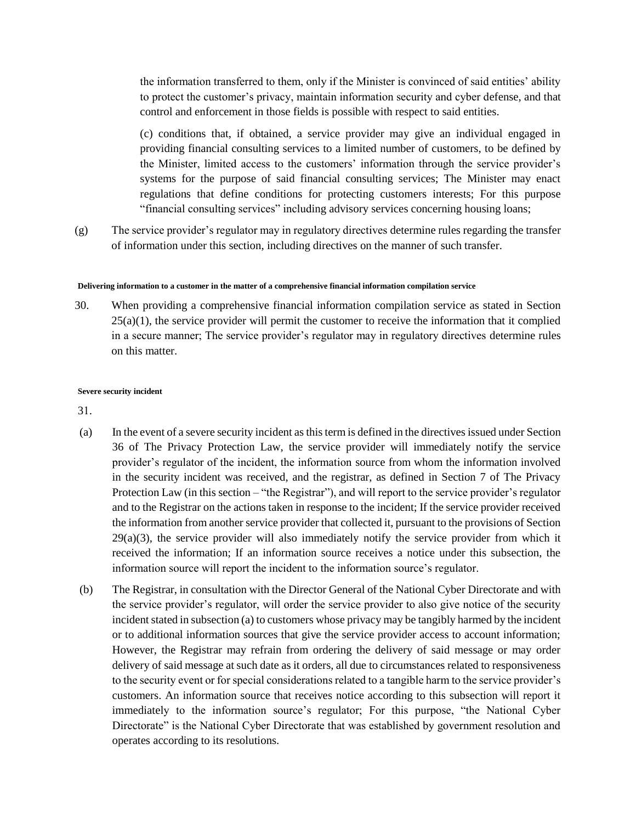the information transferred to them, only if the Minister is convinced of said entities' ability to protect the customer's privacy, maintain information security and cyber defense, and that control and enforcement in those fields is possible with respect to said entities.

(c) conditions that, if obtained, a service provider may give an individual engaged in providing financial consulting services to a limited number of customers, to be defined by the Minister, limited access to the customers' information through the service provider's systems for the purpose of said financial consulting services; The Minister may enact regulations that define conditions for protecting customers interests; For this purpose "financial consulting services" including advisory services concerning housing loans;

(g) The service provider's regulator may in regulatory directives determine rules regarding the transfer of information under this section, including directives on the manner of such transfer.

#### **Delivering information to a customer in the matter of a comprehensive financial information compilation service**

30. When providing a comprehensive financial information compilation service as stated in Section  $25(a)(1)$ , the service provider will permit the customer to receive the information that it complied in a secure manner; The service provider's regulator may in regulatory directives determine rules on this matter.

#### **Severe security incident**

- (a) In the event of a severe security incident as this term is defined in the directives issued under Section 36 of The Privacy Protection Law, the service provider will immediately notify the service provider's regulator of the incident, the information source from whom the information involved in the security incident was received, and the registrar, as defined in Section 7 of The Privacy Protection Law (in this section – "the Registrar"), and will report to the service provider's regulator and to the Registrar on the actions taken in response to the incident; If the service provider received the information from another service provider that collected it, pursuant to the provisions of Section  $29(a)(3)$ , the service provider will also immediately notify the service provider from which it received the information; If an information source receives a notice under this subsection, the information source will report the incident to the information source's regulator.
- (b) The Registrar, in consultation with the Director General of the National Cyber Directorate and with the service provider's regulator, will order the service provider to also give notice of the security incident stated in subsection (a) to customers whose privacy may be tangibly harmed by the incident or to additional information sources that give the service provider access to account information; However, the Registrar may refrain from ordering the delivery of said message or may order delivery of said message at such date as it orders, all due to circumstances related to responsiveness to the security event or for special considerations related to a tangible harm to the service provider's customers. An information source that receives notice according to this subsection will report it immediately to the information source's regulator; For this purpose, "the National Cyber Directorate" is the National Cyber Directorate that was established by government resolution and operates according to its resolutions.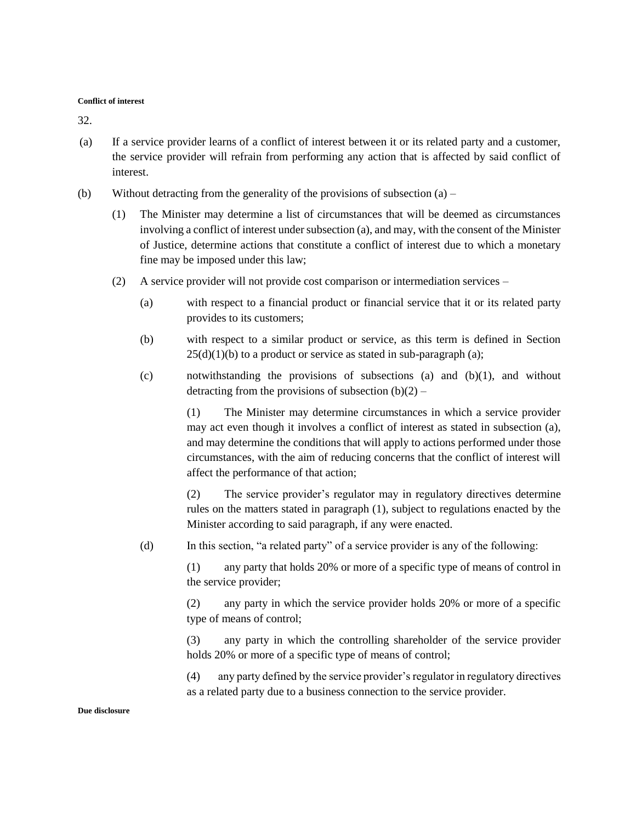#### **Conflict of interest**

32.

- (a) If a service provider learns of a conflict of interest between it or its related party and a customer, the service provider will refrain from performing any action that is affected by said conflict of interest.
- (b) Without detracting from the generality of the provisions of subsection  $(a)$ 
	- (1) The Minister may determine a list of circumstances that will be deemed as circumstances involving a conflict of interest under subsection (a), and may, with the consent of the Minister of Justice, determine actions that constitute a conflict of interest due to which a monetary fine may be imposed under this law;
	- (2) A service provider will not provide cost comparison or intermediation services
		- (a) with respect to a financial product or financial service that it or its related party provides to its customers;
		- (b) with respect to a similar product or service, as this term is defined in Section  $25(d)(1)(b)$  to a product or service as stated in sub-paragraph (a);
		- (c) notwithstanding the provisions of subsections (a) and (b)(1), and without detracting from the provisions of subsection  $(b)(2)$  –

(1) The Minister may determine circumstances in which a service provider may act even though it involves a conflict of interest as stated in subsection (a), and may determine the conditions that will apply to actions performed under those circumstances, with the aim of reducing concerns that the conflict of interest will affect the performance of that action;

(2) The service provider's regulator may in regulatory directives determine rules on the matters stated in paragraph (1), subject to regulations enacted by the Minister according to said paragraph, if any were enacted.

(d) In this section, "a related party" of a service provider is any of the following:

(1) any party that holds 20% or more of a specific type of means of control in the service provider;

(2) any party in which the service provider holds 20% or more of a specific type of means of control;

(3) any party in which the controlling shareholder of the service provider holds 20% or more of a specific type of means of control;

(4) any party defined by the service provider's regulator in regulatory directives as a related party due to a business connection to the service provider.

#### **Due disclosure**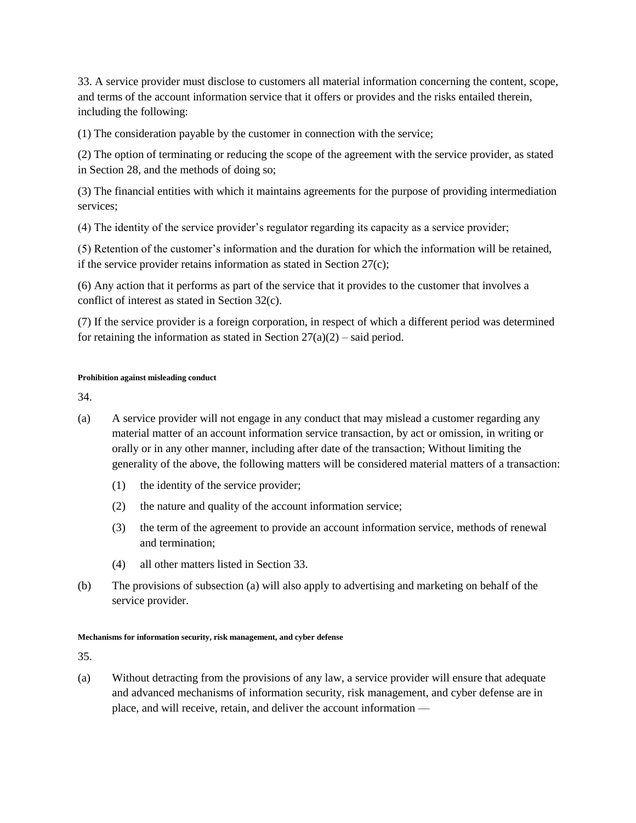33. A service provider must disclose to customers all material information concerning the content, scope, and terms of the account information service that it offers or provides and the risks entailed therein, including the following:

(1) The consideration payable by the customer in connection with the service;

(2) The option of terminating or reducing the scope of the agreement with the service provider, as stated in Section 28, and the methods of doing so;

(3) The financial entities with which it maintains agreements for the purpose of providing intermediation services;

(4) The identity of the service provider's regulator regarding its capacity as a service provider;

(5) Retention of the customer's information and the duration for which the information will be retained, if the service provider retains information as stated in Section 27(c);

(6) Any action that it performs as part of the service that it provides to the customer that involves a conflict of interest as stated in Section 32(c).

(7) If the service provider is a foreign corporation, in respect of which a different period was determined for retaining the information as stated in Section  $27(a)(2)$  – said period.

### **Prohibition against misleading conduct**

34.

- (a) A service provider will not engage in any conduct that may mislead a customer regarding any material matter of an account information service transaction, by act or omission, in writing or orally or in any other manner, including after date of the transaction; Without limiting the generality of the above, the following matters will be considered material matters of a transaction:
	- (1) the identity of the service provider;
	- (2) the nature and quality of the account information service;
	- (3) the term of the agreement to provide an account information service, methods of renewal and termination;
	- (4) all other matters listed in Section 33.
- (b) The provisions of subsection (a) will also apply to advertising and marketing on behalf of the service provider.

### **Mechanisms for information security, risk management, and cyber defense**

35.

(a) Without detracting from the provisions of any law, a service provider will ensure that adequate and advanced mechanisms of information security, risk management, and cyber defense are in place, and will receive, retain, and deliver the account information —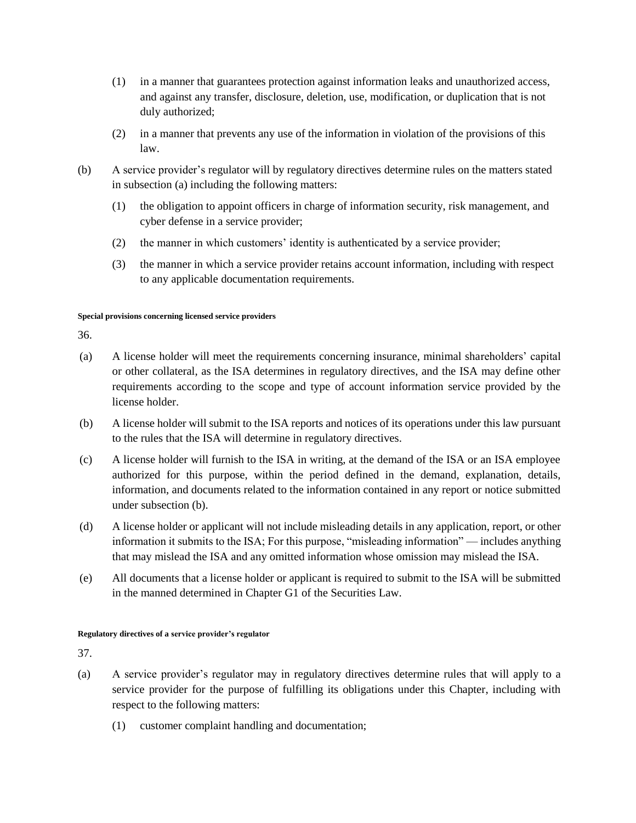- (1) in a manner that guarantees protection against information leaks and unauthorized access, and against any transfer, disclosure, deletion, use, modification, or duplication that is not duly authorized;
- (2) in a manner that prevents any use of the information in violation of the provisions of this law.
- (b) A service provider's regulator will by regulatory directives determine rules on the matters stated in subsection (a) including the following matters:
	- (1) the obligation to appoint officers in charge of information security, risk management, and cyber defense in a service provider;
	- (2) the manner in which customers' identity is authenticated by a service provider;
	- (3) the manner in which a service provider retains account information, including with respect to any applicable documentation requirements.

### **Special provisions concerning licensed service providers**

36.

- (a) A license holder will meet the requirements concerning insurance, minimal shareholders' capital or other collateral, as the ISA determines in regulatory directives, and the ISA may define other requirements according to the scope and type of account information service provided by the license holder.
- (b) A license holder will submit to the ISA reports and notices of its operations under this law pursuant to the rules that the ISA will determine in regulatory directives.
- (c) A license holder will furnish to the ISA in writing, at the demand of the ISA or an ISA employee authorized for this purpose, within the period defined in the demand, explanation, details, information, and documents related to the information contained in any report or notice submitted under subsection (b).
- (d) A license holder or applicant will not include misleading details in any application, report, or other information it submits to the ISA; For this purpose, "misleading information" — includes anything that may mislead the ISA and any omitted information whose omission may mislead the ISA.
- (e) All documents that a license holder or applicant is required to submit to the ISA will be submitted in the manned determined in Chapter G1 of the Securities Law.

### **Regulatory directives of a service provider's regulator**

- (a) A service provider's regulator may in regulatory directives determine rules that will apply to a service provider for the purpose of fulfilling its obligations under this Chapter, including with respect to the following matters:
	- (1) customer complaint handling and documentation;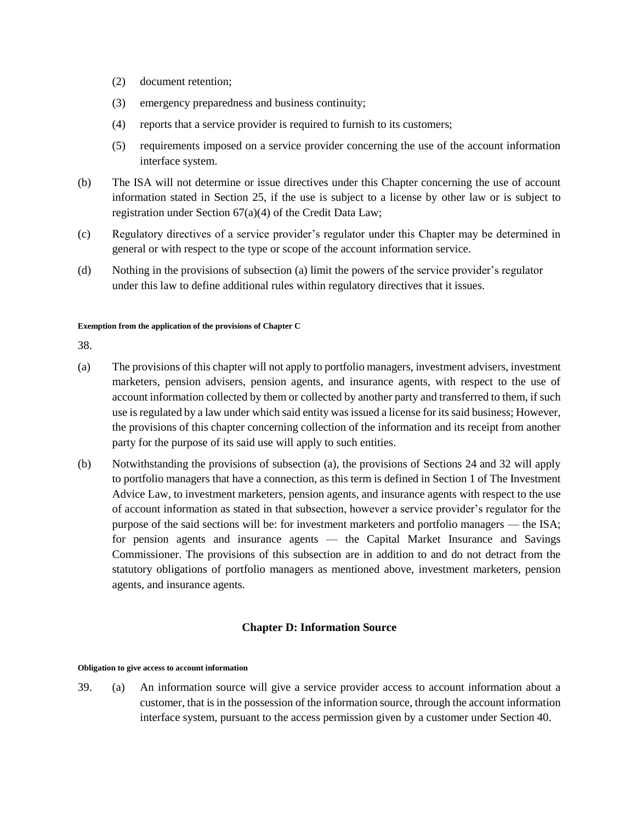- (2) document retention;
- (3) emergency preparedness and business continuity;
- (4) reports that a service provider is required to furnish to its customers;
- (5) requirements imposed on a service provider concerning the use of the account information interface system.
- (b) The ISA will not determine or issue directives under this Chapter concerning the use of account information stated in Section 25, if the use is subject to a license by other law or is subject to registration under Section 67(a)(4) of the Credit Data Law;
- (c) Regulatory directives of a service provider's regulator under this Chapter may be determined in general or with respect to the type or scope of the account information service.
- (d) Nothing in the provisions of subsection (a) limit the powers of the service provider's regulator under this law to define additional rules within regulatory directives that it issues.

#### **Exemption from the application of the provisions of Chapter C**

38.

- (a) The provisions of this chapter will not apply to portfolio managers, investment advisers, investment marketers, pension advisers, pension agents, and insurance agents, with respect to the use of account information collected by them or collected by another party and transferred to them, if such use is regulated by a law under which said entity was issued a license for its said business; However, the provisions of this chapter concerning collection of the information and its receipt from another party for the purpose of its said use will apply to such entities.
- (b) Notwithstanding the provisions of subsection (a), the provisions of Sections 24 and 32 will apply to portfolio managers that have a connection, as this term is defined in Section 1 of The Investment Advice Law, to investment marketers, pension agents, and insurance agents with respect to the use of account information as stated in that subsection, however a service provider's regulator for the purpose of the said sections will be: for investment marketers and portfolio managers — the ISA; for pension agents and insurance agents — the Capital Market Insurance and Savings Commissioner. The provisions of this subsection are in addition to and do not detract from the statutory obligations of portfolio managers as mentioned above, investment marketers, pension agents, and insurance agents.

## **Chapter D: Information Source**

#### **Obligation to give access to account information**

39. (a) An information source will give a service provider access to account information about a customer, that is in the possession of the information source, through the account information interface system, pursuant to the access permission given by a customer under Section 40.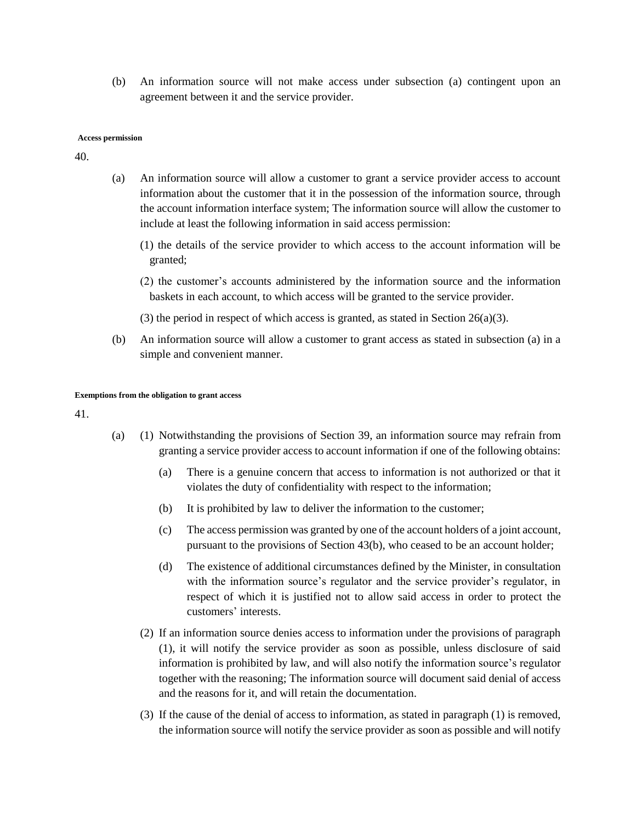(b) An information source will not make access under subsection (a) contingent upon an agreement between it and the service provider.

#### **Access permission**

40.

- (a) An information source will allow a customer to grant a service provider access to account information about the customer that it in the possession of the information source, through the account information interface system; The information source will allow the customer to include at least the following information in said access permission:
	- (1) the details of the service provider to which access to the account information will be granted;
	- (2) the customer's accounts administered by the information source and the information baskets in each account, to which access will be granted to the service provider.
	- (3) the period in respect of which access is granted, as stated in Section 26(a)(3).
- (b) An information source will allow a customer to grant access as stated in subsection (a) in a simple and convenient manner.

#### **Exemptions from the obligation to grant access**

- (a) (1) Notwithstanding the provisions of Section 39, an information source may refrain from granting a service provider access to account information if one of the following obtains:
	- (a) There is a genuine concern that access to information is not authorized or that it violates the duty of confidentiality with respect to the information;
	- (b) It is prohibited by law to deliver the information to the customer;
	- (c) The access permission was granted by one of the account holders of a joint account, pursuant to the provisions of Section 43(b), who ceased to be an account holder;
	- (d) The existence of additional circumstances defined by the Minister, in consultation with the information source's regulator and the service provider's regulator, in respect of which it is justified not to allow said access in order to protect the customers' interests.
	- (2) If an information source denies access to information under the provisions of paragraph (1), it will notify the service provider as soon as possible, unless disclosure of said information is prohibited by law, and will also notify the information source's regulator together with the reasoning; The information source will document said denial of access and the reasons for it, and will retain the documentation.
	- (3) If the cause of the denial of access to information, as stated in paragraph (1) is removed, the information source will notify the service provider as soon as possible and will notify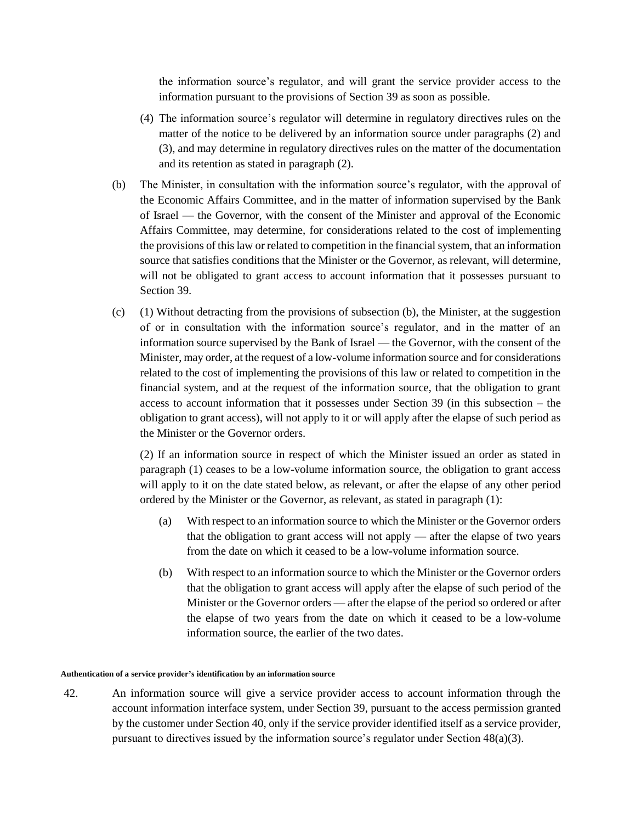the information source's regulator, and will grant the service provider access to the information pursuant to the provisions of Section 39 as soon as possible.

- (4) The information source's regulator will determine in regulatory directives rules on the matter of the notice to be delivered by an information source under paragraphs (2) and (3), and may determine in regulatory directives rules on the matter of the documentation and its retention as stated in paragraph (2).
- (b) The Minister, in consultation with the information source's regulator, with the approval of the Economic Affairs Committee, and in the matter of information supervised by the Bank of Israel — the Governor, with the consent of the Minister and approval of the Economic Affairs Committee, may determine, for considerations related to the cost of implementing the provisions of this law or related to competition in the financial system, that an information source that satisfies conditions that the Minister or the Governor, as relevant, will determine, will not be obligated to grant access to account information that it possesses pursuant to Section 39.
- (c) (1) Without detracting from the provisions of subsection (b), the Minister, at the suggestion of or in consultation with the information source's regulator, and in the matter of an information source supervised by the Bank of Israel — the Governor, with the consent of the Minister, may order, at the request of a low-volume information source and for considerations related to the cost of implementing the provisions of this law or related to competition in the financial system, and at the request of the information source, that the obligation to grant access to account information that it possesses under Section 39 (in this subsection – the obligation to grant access), will not apply to it or will apply after the elapse of such period as the Minister or the Governor orders.

(2) If an information source in respect of which the Minister issued an order as stated in paragraph (1) ceases to be a low-volume information source, the obligation to grant access will apply to it on the date stated below, as relevant, or after the elapse of any other period ordered by the Minister or the Governor, as relevant, as stated in paragraph (1):

- (a) With respect to an information source to which the Minister or the Governor orders that the obligation to grant access will not apply — after the elapse of two years from the date on which it ceased to be a low-volume information source.
- (b) With respect to an information source to which the Minister or the Governor orders that the obligation to grant access will apply after the elapse of such period of the Minister or the Governor orders — after the elapse of the period so ordered or after the elapse of two years from the date on which it ceased to be a low-volume information source, the earlier of the two dates.

#### **Authentication of a service provider's identification by an information source**

42. An information source will give a service provider access to account information through the account information interface system, under Section 39, pursuant to the access permission granted by the customer under Section 40, only if the service provider identified itself as a service provider, pursuant to directives issued by the information source's regulator under Section  $48(a)(3)$ .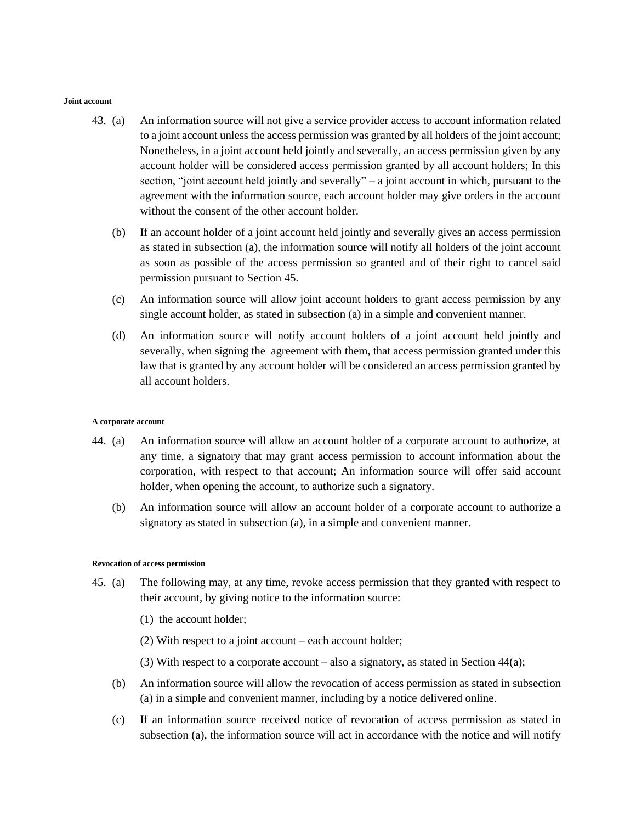#### **Joint account**

- 43. (a) An information source will not give a service provider access to account information related to a joint account unless the access permission was granted by all holders of the joint account; Nonetheless, in a joint account held jointly and severally, an access permission given by any account holder will be considered access permission granted by all account holders; In this section, "joint account held jointly and severally" – a joint account in which, pursuant to the agreement with the information source, each account holder may give orders in the account without the consent of the other account holder.
	- (b) If an account holder of a joint account held jointly and severally gives an access permission as stated in subsection (a), the information source will notify all holders of the joint account as soon as possible of the access permission so granted and of their right to cancel said permission pursuant to Section 45.
	- (c) An information source will allow joint account holders to grant access permission by any single account holder, as stated in subsection (a) in a simple and convenient manner.
	- (d) An information source will notify account holders of a joint account held jointly and severally, when signing the agreement with them, that access permission granted under this law that is granted by any account holder will be considered an access permission granted by all account holders.

#### **A corporate account**

- 44. (a) An information source will allow an account holder of a corporate account to authorize, at any time, a signatory that may grant access permission to account information about the corporation, with respect to that account; An information source will offer said account holder, when opening the account, to authorize such a signatory.
	- (b) An information source will allow an account holder of a corporate account to authorize a signatory as stated in subsection (a), in a simple and convenient manner.

#### **Revocation of access permission**

- 45. (a) The following may, at any time, revoke access permission that they granted with respect to their account, by giving notice to the information source:
	- (1) the account holder;
	- (2) With respect to a joint account each account holder;
	- (3) With respect to a corporate account also a signatory, as stated in Section 44(a);
	- (b) An information source will allow the revocation of access permission as stated in subsection (a) in a simple and convenient manner, including by a notice delivered online.
	- (c) If an information source received notice of revocation of access permission as stated in subsection (a), the information source will act in accordance with the notice and will notify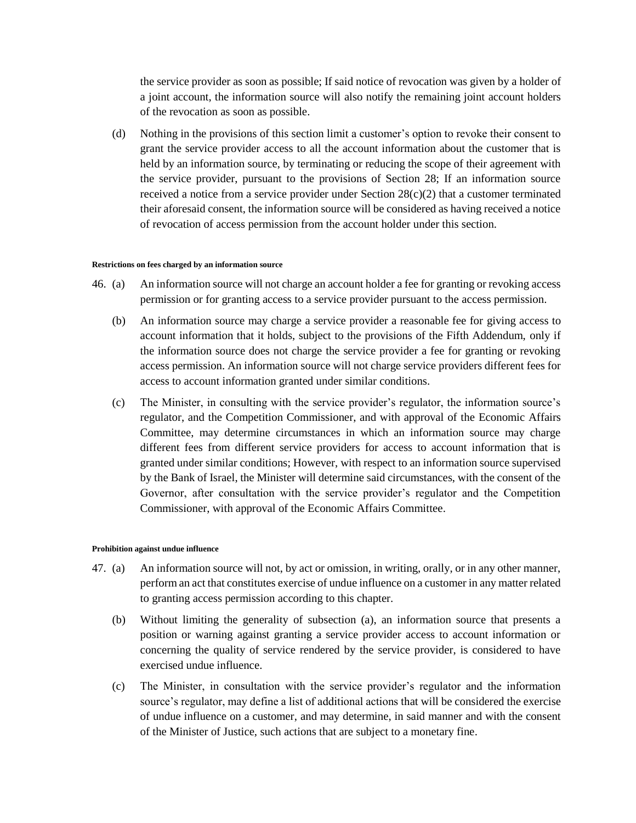the service provider as soon as possible; If said notice of revocation was given by a holder of a joint account, the information source will also notify the remaining joint account holders of the revocation as soon as possible.

(d) Nothing in the provisions of this section limit a customer's option to revoke their consent to grant the service provider access to all the account information about the customer that is held by an information source, by terminating or reducing the scope of their agreement with the service provider, pursuant to the provisions of Section 28; If an information source received a notice from a service provider under Section  $28(c)(2)$  that a customer terminated their aforesaid consent, the information source will be considered as having received a notice of revocation of access permission from the account holder under this section.

#### **Restrictions on fees charged by an information source**

- 46. (a) An information source will not charge an account holder a fee for granting or revoking access permission or for granting access to a service provider pursuant to the access permission.
	- (b) An information source may charge a service provider a reasonable fee for giving access to account information that it holds, subject to the provisions of the Fifth Addendum, only if the information source does not charge the service provider a fee for granting or revoking access permission. An information source will not charge service providers different fees for access to account information granted under similar conditions.
	- (c) The Minister, in consulting with the service provider's regulator, the information source's regulator, and the Competition Commissioner, and with approval of the Economic Affairs Committee, may determine circumstances in which an information source may charge different fees from different service providers for access to account information that is granted under similar conditions; However, with respect to an information source supervised by the Bank of Israel, the Minister will determine said circumstances, with the consent of the Governor, after consultation with the service provider's regulator and the Competition Commissioner, with approval of the Economic Affairs Committee.

#### **Prohibition against undue influence**

- 47. (a) An information source will not, by act or omission, in writing, orally, or in any other manner, perform an act that constitutes exercise of undue influence on a customer in any matter related to granting access permission according to this chapter.
	- (b) Without limiting the generality of subsection (a), an information source that presents a position or warning against granting a service provider access to account information or concerning the quality of service rendered by the service provider, is considered to have exercised undue influence.
	- (c) The Minister, in consultation with the service provider's regulator and the information source's regulator, may define a list of additional actions that will be considered the exercise of undue influence on a customer, and may determine, in said manner and with the consent of the Minister of Justice, such actions that are subject to a monetary fine.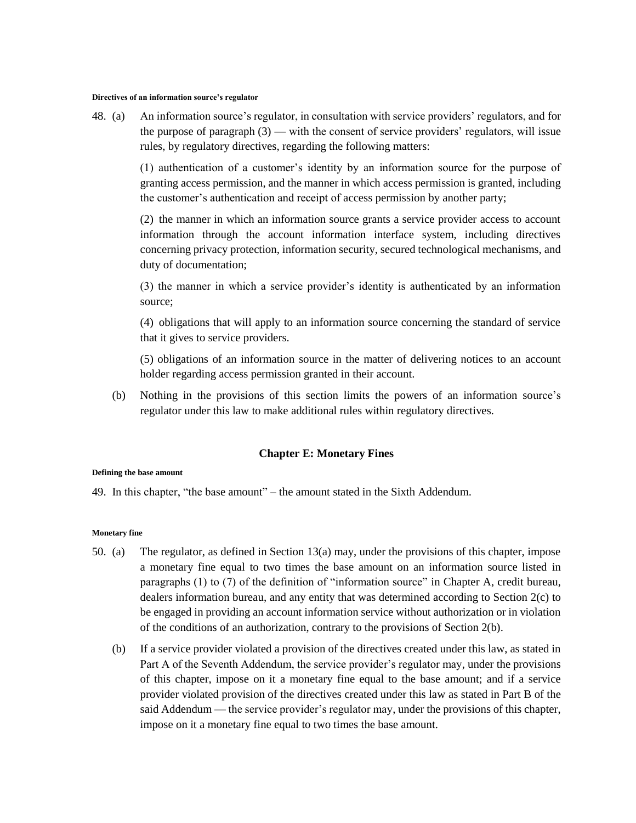#### **Directives of an information source's regulator**

48. (a) An information source's regulator, in consultation with service providers' regulators, and for the purpose of paragraph (3) — with the consent of service providers' regulators, will issue rules, by regulatory directives, regarding the following matters:

> (1) authentication of a customer's identity by an information source for the purpose of granting access permission, and the manner in which access permission is granted, including the customer's authentication and receipt of access permission by another party;

> (2) the manner in which an information source grants a service provider access to account information through the account information interface system, including directives concerning privacy protection, information security, secured technological mechanisms, and duty of documentation;

> (3) the manner in which a service provider's identity is authenticated by an information source;

> (4) obligations that will apply to an information source concerning the standard of service that it gives to service providers.

> (5) obligations of an information source in the matter of delivering notices to an account holder regarding access permission granted in their account.

(b) Nothing in the provisions of this section limits the powers of an information source's regulator under this law to make additional rules within regulatory directives.

#### **Chapter E: Monetary Fines**

#### **Defining the base amount**

49. In this chapter, "the base amount" – the amount stated in the Sixth Addendum.

#### **Monetary fine**

- 50. (a) The regulator, as defined in Section 13(a) may, under the provisions of this chapter, impose a monetary fine equal to two times the base amount on an information source listed in paragraphs (1) to (7) of the definition of "information source" in Chapter A, credit bureau, dealers information bureau, and any entity that was determined according to Section 2(c) to be engaged in providing an account information service without authorization or in violation of the conditions of an authorization, contrary to the provisions of Section 2(b).
	- (b) If a service provider violated a provision of the directives created under this law, as stated in Part A of the Seventh Addendum, the service provider's regulator may, under the provisions of this chapter, impose on it a monetary fine equal to the base amount; and if a service provider violated provision of the directives created under this law as stated in Part B of the said Addendum — the service provider's regulator may, under the provisions of this chapter, impose on it a monetary fine equal to two times the base amount.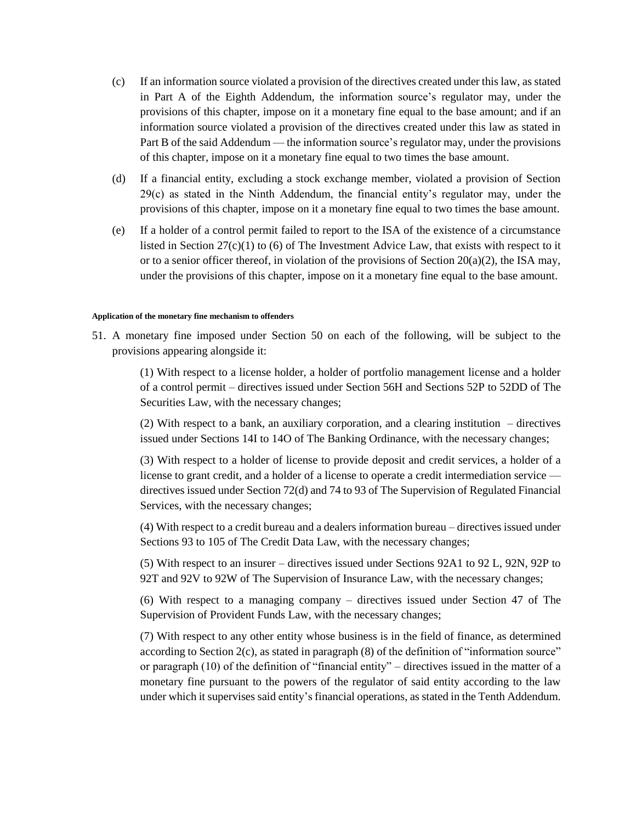- (c) If an information source violated a provision of the directives created under this law, as stated in Part A of the Eighth Addendum, the information source's regulator may, under the provisions of this chapter, impose on it a monetary fine equal to the base amount; and if an information source violated a provision of the directives created under this law as stated in Part B of the said Addendum — the information source's regulator may, under the provisions of this chapter, impose on it a monetary fine equal to two times the base amount.
- (d) If a financial entity, excluding a stock exchange member, violated a provision of Section 29(c) as stated in the Ninth Addendum, the financial entity's regulator may, under the provisions of this chapter, impose on it a monetary fine equal to two times the base amount.
- (e) If a holder of a control permit failed to report to the ISA of the existence of a circumstance listed in Section 27(c)(1) to (6) of The Investment Advice Law, that exists with respect to it or to a senior officer thereof, in violation of the provisions of Section  $20(a)(2)$ , the ISA may, under the provisions of this chapter, impose on it a monetary fine equal to the base amount.

#### **Application of the monetary fine mechanism to offenders**

51. A monetary fine imposed under Section 50 on each of the following, will be subject to the provisions appearing alongside it:

> (1) With respect to a license holder, a holder of portfolio management license and a holder of a control permit – directives issued under Section 56H and Sections 52P to 52DD of The Securities Law, with the necessary changes;

> (2) With respect to a bank, an auxiliary corporation, and a clearing institution – directives issued under Sections 14I to 14O of The Banking Ordinance, with the necessary changes;

> (3) With respect to a holder of license to provide deposit and credit services, a holder of a license to grant credit, and a holder of a license to operate a credit intermediation service directives issued under Section 72(d) and 74 to 93 of The Supervision of Regulated Financial Services, with the necessary changes;

> (4) With respect to a credit bureau and a dealers information bureau – directives issued under Sections 93 to 105 of The Credit Data Law, with the necessary changes;

> (5) With respect to an insurer – directives issued under Sections 92A1 to 92 L, 92N, 92P to 92T and 92V to 92W of The Supervision of Insurance Law, with the necessary changes;

> (6) With respect to a managing company – directives issued under Section 47 of The Supervision of Provident Funds Law, with the necessary changes;

> (7) With respect to any other entity whose business is in the field of finance, as determined according to Section 2(c), as stated in paragraph (8) of the definition of "information source" or paragraph (10) of the definition of "financial entity" – directives issued in the matter of a monetary fine pursuant to the powers of the regulator of said entity according to the law under which it supervises said entity's financial operations, as stated in the Tenth Addendum.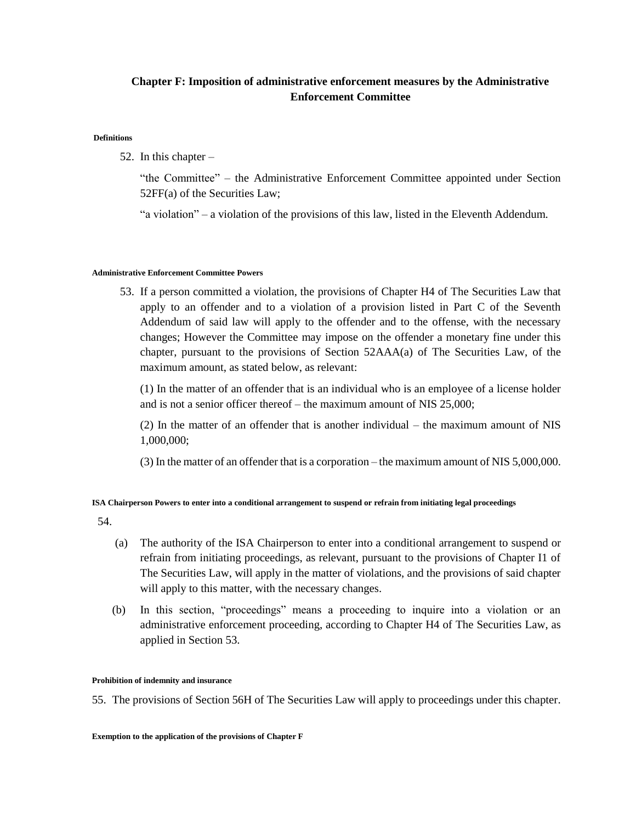# **Chapter F: Imposition of administrative enforcement measures by the Administrative Enforcement Committee**

#### **Definitions**

52. In this chapter –

"the Committee" – the Administrative Enforcement Committee appointed under Section 52FF(a) of the Securities Law;

"a violation" – a violation of the provisions of this law, listed in the Eleventh Addendum.

### **Administrative Enforcement Committee Powers**

53. If a person committed a violation, the provisions of Chapter H4 of The Securities Law that apply to an offender and to a violation of a provision listed in Part C of the Seventh Addendum of said law will apply to the offender and to the offense, with the necessary changes; However the Committee may impose on the offender a monetary fine under this chapter, pursuant to the provisions of Section 52AAA(a) of The Securities Law, of the maximum amount, as stated below, as relevant:

(1) In the matter of an offender that is an individual who is an employee of a license holder and is not a senior officer thereof – the maximum amount of NIS 25,000;

(2) In the matter of an offender that is another individual – the maximum amount of NIS 1,000,000;

(3) In the matter of an offender that is a corporation – the maximum amount of NIS 5,000,000.

### **ISA Chairperson Powers to enter into a conditional arrangement to suspend or refrain from initiating legal proceedings**

54.

- (a) The authority of the ISA Chairperson to enter into a conditional arrangement to suspend or refrain from initiating proceedings, as relevant, pursuant to the provisions of Chapter I1 of The Securities Law, will apply in the matter of violations, and the provisions of said chapter will apply to this matter, with the necessary changes.
- (b) In this section, "proceedings" means a proceeding to inquire into a violation or an administrative enforcement proceeding, according to Chapter H4 of The Securities Law, as applied in Section 53.

#### **Prohibition of indemnity and insurance**

55. The provisions of Section 56H of The Securities Law will apply to proceedings under this chapter.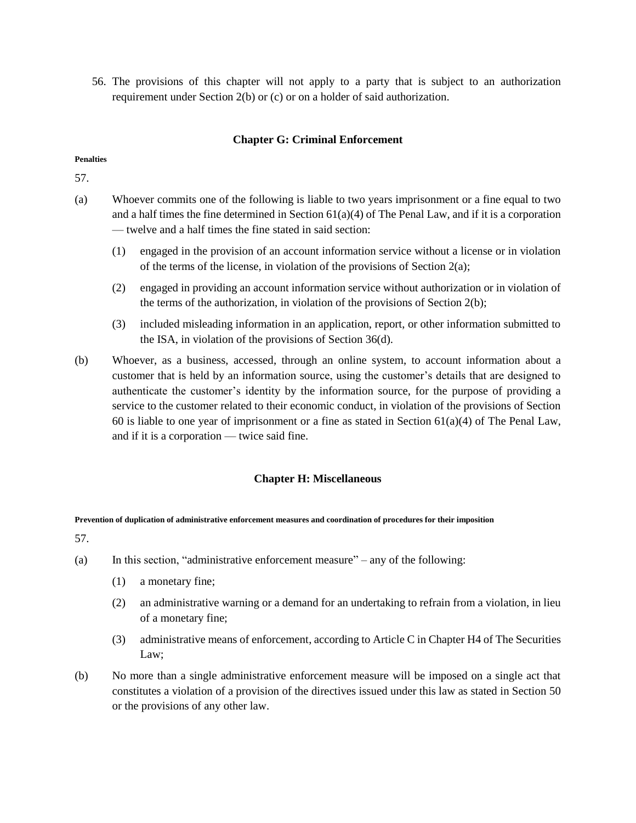56. The provisions of this chapter will not apply to a party that is subject to an authorization requirement under Section 2(b) or (c) or on a holder of said authorization.

## **Chapter G: Criminal Enforcement**

### **Penalties**

57.

- (a) Whoever commits one of the following is liable to two years imprisonment or a fine equal to two and a half times the fine determined in Section  $61(a)(4)$  of The Penal Law, and if it is a corporation — twelve and a half times the fine stated in said section:
	- (1) engaged in the provision of an account information service without a license or in violation of the terms of the license, in violation of the provisions of Section 2(a);
	- (2) engaged in providing an account information service without authorization or in violation of the terms of the authorization, in violation of the provisions of Section 2(b);
	- (3) included misleading information in an application, report, or other information submitted to the ISA, in violation of the provisions of Section 36(d).
- (b) Whoever, as a business, accessed, through an online system, to account information about a customer that is held by an information source, using the customer's details that are designed to authenticate the customer's identity by the information source, for the purpose of providing a service to the customer related to their economic conduct, in violation of the provisions of Section 60 is liable to one year of imprisonment or a fine as stated in Section  $61(a)(4)$  of The Penal Law, and if it is a corporation — twice said fine.

## **Chapter H: Miscellaneous**

### **Prevention of duplication of administrative enforcement measures and coordination of procedures for their imposition**

- (a) In this section, "administrative enforcement measure" any of the following:
	- (1) a monetary fine;
	- (2) an administrative warning or a demand for an undertaking to refrain from a violation, in lieu of a monetary fine;
	- (3) administrative means of enforcement, according to Article C in Chapter H4 of The Securities Law;
- (b) No more than a single administrative enforcement measure will be imposed on a single act that constitutes a violation of a provision of the directives issued under this law as stated in Section 50 or the provisions of any other law.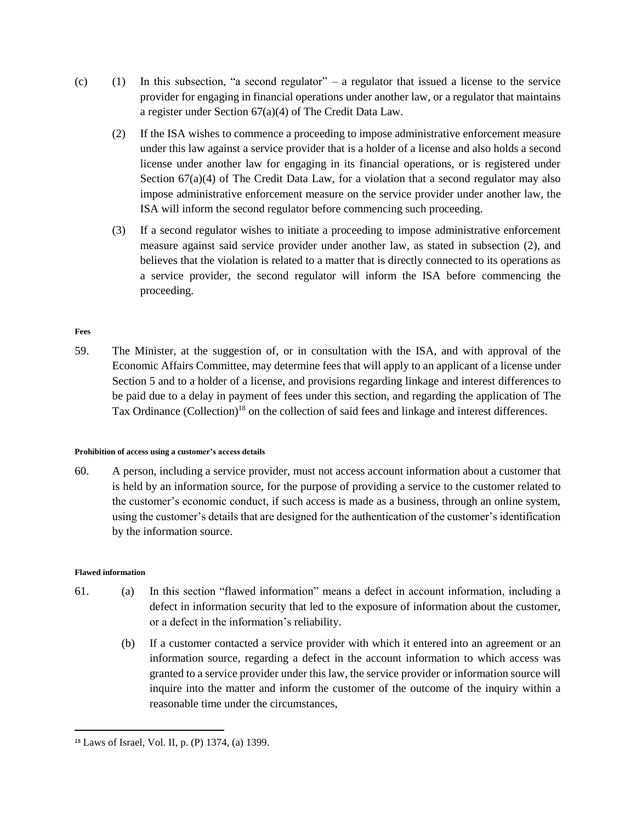- (c) (1) In this subsection, "a second regulator" a regulator that issued a license to the service provider for engaging in financial operations under another law, or a regulator that maintains a register under Section 67(a)(4) of The Credit Data Law.
	- (2) If the ISA wishes to commence a proceeding to impose administrative enforcement measure under this law against a service provider that is a holder of a license and also holds a second license under another law for engaging in its financial operations, or is registered under Section  $67(a)(4)$  of The Credit Data Law, for a violation that a second regulator may also impose administrative enforcement measure on the service provider under another law, the ISA will inform the second regulator before commencing such proceeding.
	- (3) If a second regulator wishes to initiate a proceeding to impose administrative enforcement measure against said service provider under another law, as stated in subsection (2), and believes that the violation is related to a matter that is directly connected to its operations as a service provider, the second regulator will inform the ISA before commencing the proceeding.

### **Fees**

59. The Minister, at the suggestion of, or in consultation with the ISA, and with approval of the Economic Affairs Committee, may determine fees that will apply to an applicant of a license under Section 5 and to a holder of a license, and provisions regarding linkage and interest differences to be paid due to a delay in payment of fees under this section, and regarding the application of The Tax Ordinance (Collection)<sup>18</sup> on the collection of said fees and linkage and interest differences.

### **Prohibition of access using a customer's access details**

60. A person, including a service provider, must not access account information about a customer that is held by an information source, for the purpose of providing a service to the customer related to the customer's economic conduct, if such access is made as a business, through an online system, using the customer's details that are designed for the authentication of the customer's identification by the information source.

### **Flawed information**

 $\overline{\phantom{a}}$ 

- 61. (a) In this section "flawed information" means a defect in account information, including a defect in information security that led to the exposure of information about the customer, or a defect in the information's reliability.
	- (b) If a customer contacted a service provider with which it entered into an agreement or an information source, regarding a defect in the account information to which access was granted to a service provider under this law, the service provider or information source will inquire into the matter and inform the customer of the outcome of the inquiry within a reasonable time under the circumstances,

<sup>18</sup> Laws of Israel, Vol. II, p. (P) 1374, (a) 1399.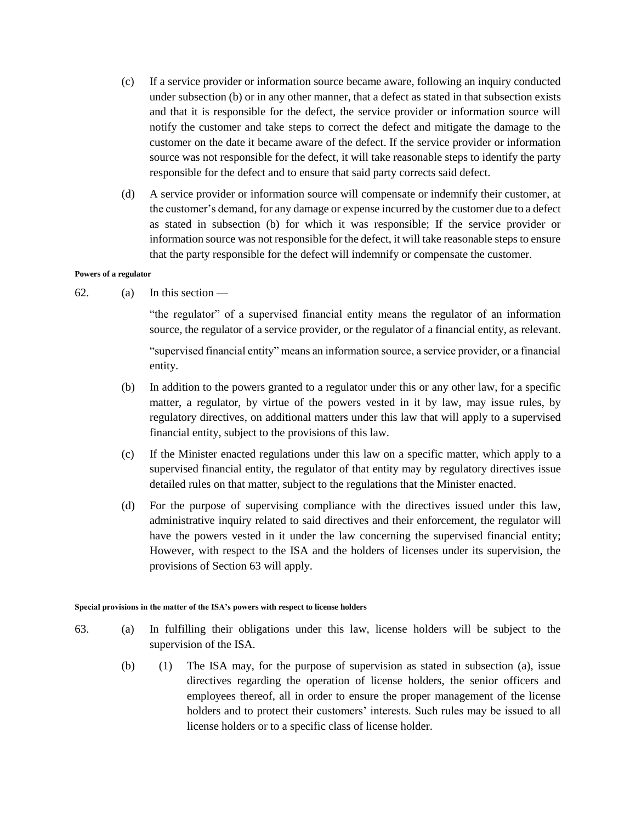- (c) If a service provider or information source became aware, following an inquiry conducted under subsection (b) or in any other manner, that a defect as stated in that subsection exists and that it is responsible for the defect, the service provider or information source will notify the customer and take steps to correct the defect and mitigate the damage to the customer on the date it became aware of the defect. If the service provider or information source was not responsible for the defect, it will take reasonable steps to identify the party responsible for the defect and to ensure that said party corrects said defect.
- (d) A service provider or information source will compensate or indemnify their customer, at the customer's demand, for any damage or expense incurred by the customer due to a defect as stated in subsection (b) for which it was responsible; If the service provider or information source was not responsible for the defect, it will take reasonable steps to ensure that the party responsible for the defect will indemnify or compensate the customer.

#### **Powers of a regulator**

62. (a) In this section —

"the regulator" of a supervised financial entity means the regulator of an information source, the regulator of a service provider, or the regulator of a financial entity, as relevant.

"supervised financial entity" means an information source, a service provider, or a financial entity.

- (b) In addition to the powers granted to a regulator under this or any other law, for a specific matter, a regulator, by virtue of the powers vested in it by law, may issue rules, by regulatory directives, on additional matters under this law that will apply to a supervised financial entity, subject to the provisions of this law.
- (c) If the Minister enacted regulations under this law on a specific matter, which apply to a supervised financial entity, the regulator of that entity may by regulatory directives issue detailed rules on that matter, subject to the regulations that the Minister enacted.
- (d) For the purpose of supervising compliance with the directives issued under this law, administrative inquiry related to said directives and their enforcement, the regulator will have the powers vested in it under the law concerning the supervised financial entity; However, with respect to the ISA and the holders of licenses under its supervision, the provisions of Section 63 will apply.

#### **Special provisions in the matter of the ISA's powers with respect to license holders**

- 63. (a) In fulfilling their obligations under this law, license holders will be subject to the supervision of the ISA.
	- (b) (1) The ISA may, for the purpose of supervision as stated in subsection (a), issue directives regarding the operation of license holders, the senior officers and employees thereof, all in order to ensure the proper management of the license holders and to protect their customers' interests. Such rules may be issued to all license holders or to a specific class of license holder.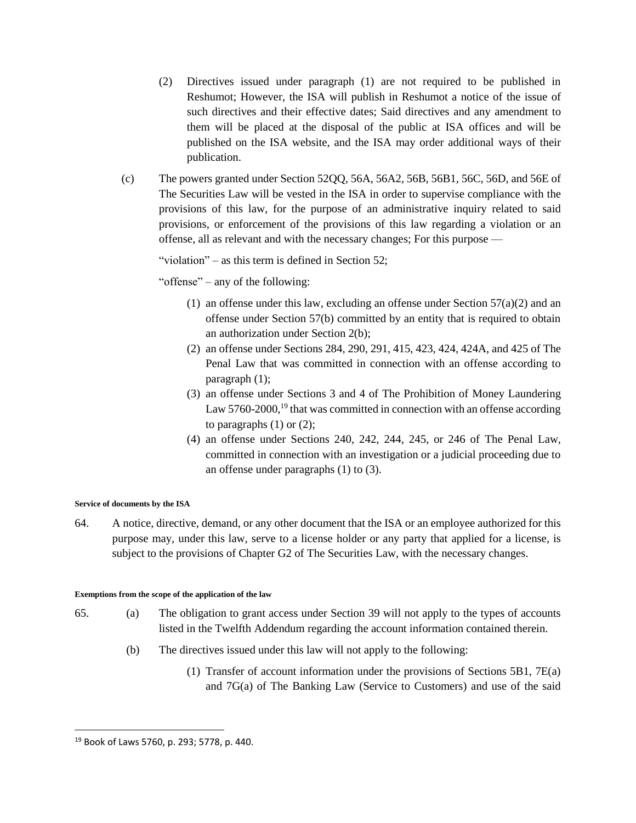- (2) Directives issued under paragraph (1) are not required to be published in Reshumot; However, the ISA will publish in Reshumot a notice of the issue of such directives and their effective dates; Said directives and any amendment to them will be placed at the disposal of the public at ISA offices and will be published on the ISA website, and the ISA may order additional ways of their publication.
- (c) The powers granted under Section 52QQ, 56A, 56A2, 56B, 56B1, 56C, 56D, and 56E of The Securities Law will be vested in the ISA in order to supervise compliance with the provisions of this law, for the purpose of an administrative inquiry related to said provisions, or enforcement of the provisions of this law regarding a violation or an offense, all as relevant and with the necessary changes; For this purpose —

"violation" – as this term is defined in Section 52:

"offense" – any of the following:

- (1) an offense under this law, excluding an offense under Section  $57(a)(2)$  and an offense under Section 57(b) committed by an entity that is required to obtain an authorization under Section 2(b);
- (2) an offense under Sections 284, 290, 291, 415, 423, 424, 424A, and 425 of The Penal Law that was committed in connection with an offense according to paragraph (1);
- (3) an offense under Sections 3 and 4 of The Prohibition of Money Laundering Law  $5760-2000$ ,<sup>19</sup> that was committed in connection with an offense according to paragraphs  $(1)$  or  $(2)$ ;
- (4) an offense under Sections 240, 242, 244, 245, or 246 of The Penal Law, committed in connection with an investigation or a judicial proceeding due to an offense under paragraphs (1) to (3).

### **Service of documents by the ISA**

64. A notice, directive, demand, or any other document that the ISA or an employee authorized for this purpose may, under this law, serve to a license holder or any party that applied for a license, is subject to the provisions of Chapter G2 of The Securities Law, with the necessary changes.

### **Exemptions from the scope of the application of the law**

- 65. (a) The obligation to grant access under Section 39 will not apply to the types of accounts listed in the Twelfth Addendum regarding the account information contained therein.
	- (b) The directives issued under this law will not apply to the following:
		- (1) Transfer of account information under the provisions of Sections 5B1, 7E(a) and 7G(a) of The Banking Law (Service to Customers) and use of the said

 $\overline{\phantom{a}}$ 

<sup>19</sup> Book of Laws 5760, p. 293; 5778, p. 440.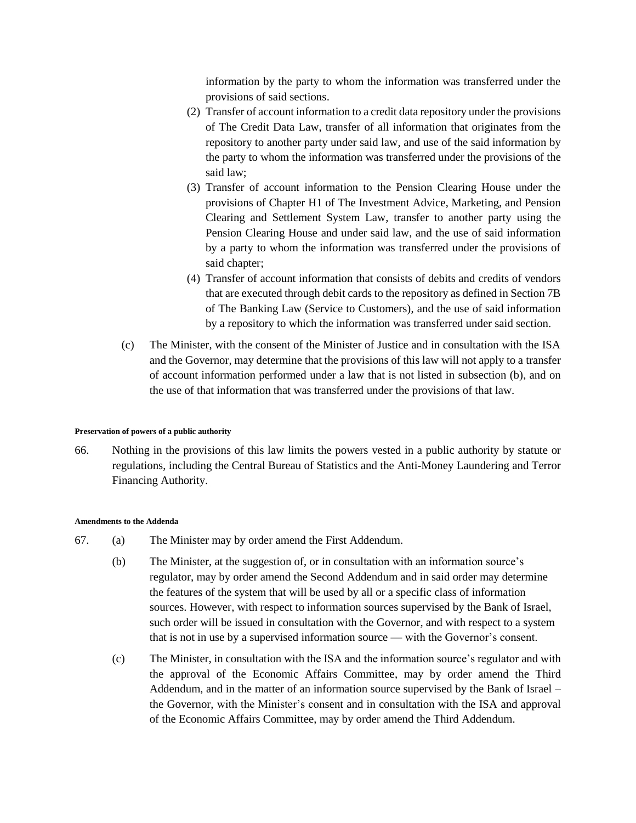information by the party to whom the information was transferred under the provisions of said sections.

- (2) Transfer of account information to a credit data repository under the provisions of The Credit Data Law, transfer of all information that originates from the repository to another party under said law, and use of the said information by the party to whom the information was transferred under the provisions of the said law;
- (3) Transfer of account information to the Pension Clearing House under the provisions of Chapter H1 of The Investment Advice, Marketing, and Pension Clearing and Settlement System Law, transfer to another party using the Pension Clearing House and under said law, and the use of said information by a party to whom the information was transferred under the provisions of said chapter;
- (4) Transfer of account information that consists of debits and credits of vendors that are executed through debit cards to the repository as defined in Section 7B of The Banking Law (Service to Customers), and the use of said information by a repository to which the information was transferred under said section.
- (c) The Minister, with the consent of the Minister of Justice and in consultation with the ISA and the Governor, may determine that the provisions of this law will not apply to a transfer of account information performed under a law that is not listed in subsection (b), and on the use of that information that was transferred under the provisions of that law.

#### **Preservation of powers of a public authority**

66. Nothing in the provisions of this law limits the powers vested in a public authority by statute or regulations, including the Central Bureau of Statistics and the Anti-Money Laundering and Terror Financing Authority.

#### **Amendments to the Addenda**

- 67. (a) The Minister may by order amend the First Addendum.
	- (b) The Minister, at the suggestion of, or in consultation with an information source's regulator, may by order amend the Second Addendum and in said order may determine the features of the system that will be used by all or a specific class of information sources. However, with respect to information sources supervised by the Bank of Israel, such order will be issued in consultation with the Governor, and with respect to a system that is not in use by a supervised information source — with the Governor's consent.
	- (c) The Minister, in consultation with the ISA and the information source's regulator and with the approval of the Economic Affairs Committee, may by order amend the Third Addendum, and in the matter of an information source supervised by the Bank of Israel – the Governor, with the Minister's consent and in consultation with the ISA and approval of the Economic Affairs Committee, may by order amend the Third Addendum.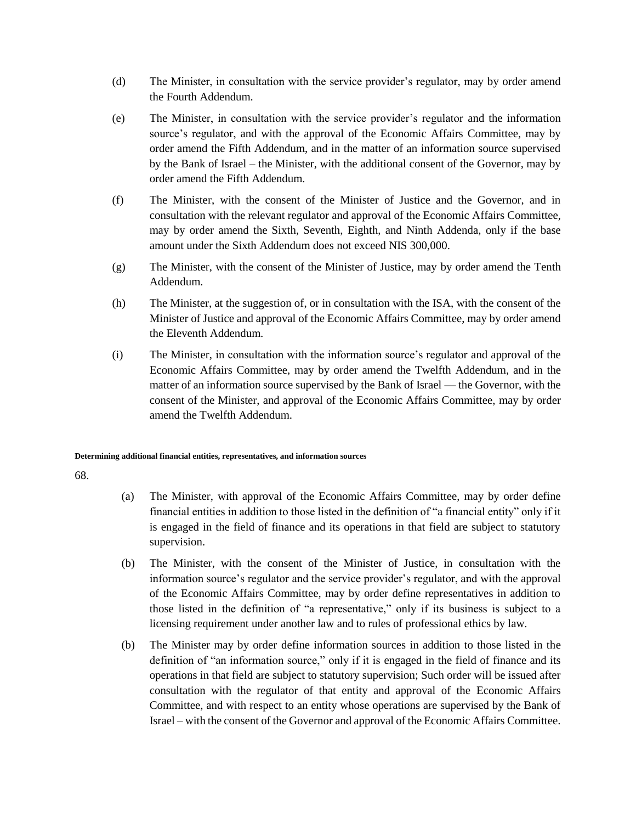- (d) The Minister, in consultation with the service provider's regulator, may by order amend the Fourth Addendum.
- (e) The Minister, in consultation with the service provider's regulator and the information source's regulator, and with the approval of the Economic Affairs Committee, may by order amend the Fifth Addendum, and in the matter of an information source supervised by the Bank of Israel – the Minister, with the additional consent of the Governor, may by order amend the Fifth Addendum.
- (f) The Minister, with the consent of the Minister of Justice and the Governor, and in consultation with the relevant regulator and approval of the Economic Affairs Committee, may by order amend the Sixth, Seventh, Eighth, and Ninth Addenda, only if the base amount under the Sixth Addendum does not exceed NIS 300,000.
- (g) The Minister, with the consent of the Minister of Justice, may by order amend the Tenth Addendum.
- (h) The Minister, at the suggestion of, or in consultation with the ISA, with the consent of the Minister of Justice and approval of the Economic Affairs Committee, may by order amend the Eleventh Addendum.
- (i) The Minister, in consultation with the information source's regulator and approval of the Economic Affairs Committee, may by order amend the Twelfth Addendum, and in the matter of an information source supervised by the Bank of Israel — the Governor, with the consent of the Minister, and approval of the Economic Affairs Committee, may by order amend the Twelfth Addendum.

### **Determining additional financial entities, representatives, and information sources**

- (a) The Minister, with approval of the Economic Affairs Committee, may by order define financial entities in addition to those listed in the definition of "a financial entity" only if it is engaged in the field of finance and its operations in that field are subject to statutory supervision.
- (b) The Minister, with the consent of the Minister of Justice, in consultation with the information source's regulator and the service provider's regulator, and with the approval of the Economic Affairs Committee, may by order define representatives in addition to those listed in the definition of "a representative," only if its business is subject to a licensing requirement under another law and to rules of professional ethics by law.
- (b) The Minister may by order define information sources in addition to those listed in the definition of "an information source," only if it is engaged in the field of finance and its operations in that field are subject to statutory supervision; Such order will be issued after consultation with the regulator of that entity and approval of the Economic Affairs Committee, and with respect to an entity whose operations are supervised by the Bank of Israel – with the consent of the Governor and approval of the Economic Affairs Committee.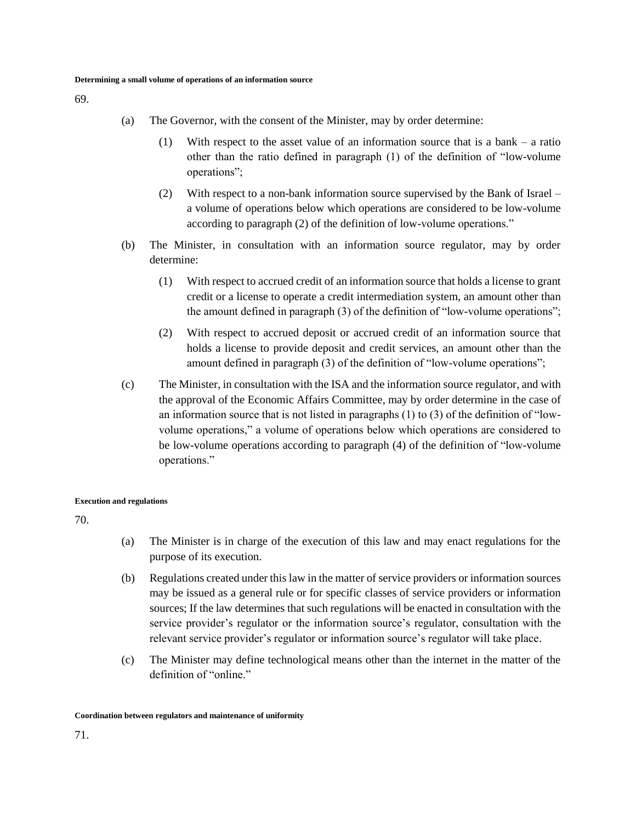69.

- (a) The Governor, with the consent of the Minister, may by order determine:
	- (1) With respect to the asset value of an information source that is a bank a ratio other than the ratio defined in paragraph (1) of the definition of "low-volume operations";
	- (2) With respect to a non-bank information source supervised by the Bank of Israel a volume of operations below which operations are considered to be low-volume according to paragraph (2) of the definition of low-volume operations."
- (b) The Minister, in consultation with an information source regulator, may by order determine:
	- (1) With respect to accrued credit of an information source that holds a license to grant credit or a license to operate a credit intermediation system, an amount other than the amount defined in paragraph (3) of the definition of "low-volume operations";
	- (2) With respect to accrued deposit or accrued credit of an information source that holds a license to provide deposit and credit services, an amount other than the amount defined in paragraph (3) of the definition of "low-volume operations";
- (c) The Minister, in consultation with the ISA and the information source regulator, and with the approval of the Economic Affairs Committee, may by order determine in the case of an information source that is not listed in paragraphs  $(1)$  to  $(3)$  of the definition of "lowvolume operations," a volume of operations below which operations are considered to be low-volume operations according to paragraph (4) of the definition of "low-volume operations."

#### **Execution and regulations**

- (a) The Minister is in charge of the execution of this law and may enact regulations for the purpose of its execution.
- (b) Regulations created under this law in the matter of service providers or information sources may be issued as a general rule or for specific classes of service providers or information sources; If the law determines that such regulations will be enacted in consultation with the service provider's regulator or the information source's regulator, consultation with the relevant service provider's regulator or information source's regulator will take place.
- (c) The Minister may define technological means other than the internet in the matter of the definition of "online."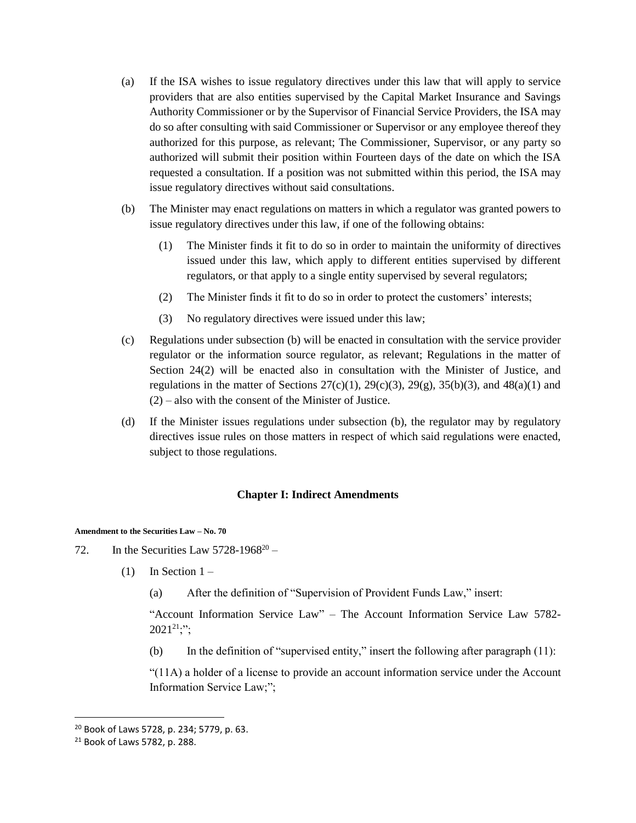- (a) If the ISA wishes to issue regulatory directives under this law that will apply to service providers that are also entities supervised by the Capital Market Insurance and Savings Authority Commissioner or by the Supervisor of Financial Service Providers, the ISA may do so after consulting with said Commissioner or Supervisor or any employee thereof they authorized for this purpose, as relevant; The Commissioner, Supervisor, or any party so authorized will submit their position within Fourteen days of the date on which the ISA requested a consultation. If a position was not submitted within this period, the ISA may issue regulatory directives without said consultations.
- (b) The Minister may enact regulations on matters in which a regulator was granted powers to issue regulatory directives under this law, if one of the following obtains:
	- (1) The Minister finds it fit to do so in order to maintain the uniformity of directives issued under this law, which apply to different entities supervised by different regulators, or that apply to a single entity supervised by several regulators;
	- (2) The Minister finds it fit to do so in order to protect the customers' interests;
	- (3) No regulatory directives were issued under this law;
- (c) Regulations under subsection (b) will be enacted in consultation with the service provider regulator or the information source regulator, as relevant; Regulations in the matter of Section 24(2) will be enacted also in consultation with the Minister of Justice, and regulations in the matter of Sections  $27(c)(1)$ ,  $29(c)(3)$ ,  $29(g)$ ,  $35(b)(3)$ , and  $48(a)(1)$  and (2) – also with the consent of the Minister of Justice.
- (d) If the Minister issues regulations under subsection (b), the regulator may by regulatory directives issue rules on those matters in respect of which said regulations were enacted, subject to those regulations.

## **Chapter I: Indirect Amendments**

**Amendment to the Securities Law – No. 70**

- 72. In the Securities Law  $5728-1968^{20}$ 
	- (1) In Section  $1 -$ 
		- (a) After the definition of "Supervision of Provident Funds Law," insert:

"Account Information Service Law" – The Account Information Service Law 5782-  $2021^{21}$ ;";

(b) In the definition of "supervised entity," insert the following after paragraph (11):

"(11A) a holder of a license to provide an account information service under the Account Information Service Law;";

 $\overline{\phantom{a}}$ 

<sup>20</sup> Book of Laws 5728, p. 234; 5779, p. 63.

<sup>21</sup> Book of Laws 5782, p. 288.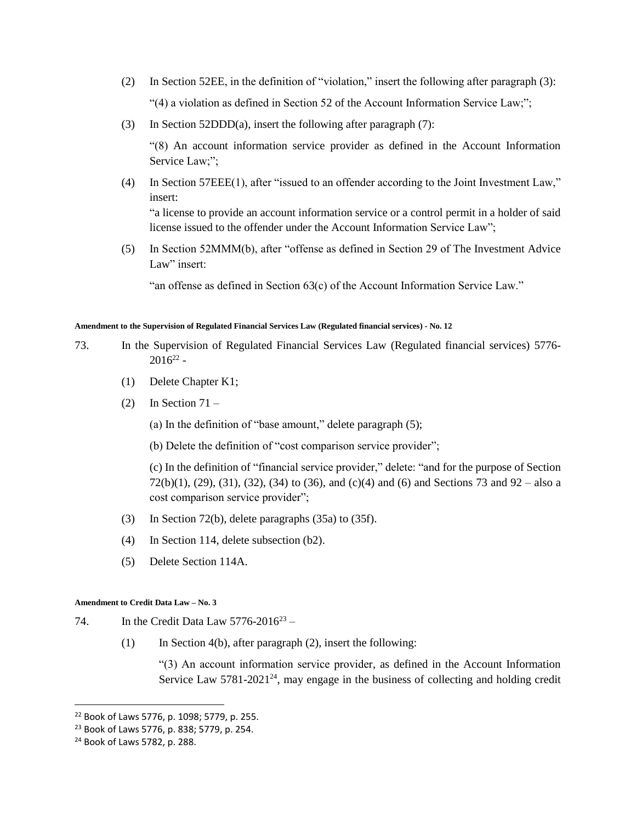- (2) In Section 52EE, in the definition of "violation," insert the following after paragraph (3): "(4) a violation as defined in Section 52 of the Account Information Service Law;";
- (3) In Section 52DDD(a), insert the following after paragraph (7):

"(8) An account information service provider as defined in the Account Information Service Law;";

(4) In Section 57EEE(1), after "issued to an offender according to the Joint Investment Law," insert:

"a license to provide an account information service or a control permit in a holder of said license issued to the offender under the Account Information Service Law";

(5) In Section 52MMM(b), after "offense as defined in Section 29 of The Investment Advice Law" insert:

"an offense as defined in Section 63(c) of the Account Information Service Law."

#### **Amendment to the Supervision of Regulated Financial Services Law (Regulated financial services) - No. 12**

- 73. In the Supervision of Regulated Financial Services Law (Regulated financial services) 5776-  $2016^{22}$  -
	- (1) Delete Chapter K1;
	- $(2)$  In Section 71 –

(a) In the definition of "base amount," delete paragraph (5);

(b) Delete the definition of "cost comparison service provider";

(c) In the definition of "financial service provider," delete: "and for the purpose of Section 72(b)(1), (29), (31), (32), (34) to (36), and (c)(4) and (6) and Sections 73 and 92 – also a cost comparison service provider";

- (3) In Section 72(b), delete paragraphs (35a) to (35f).
- (4) In Section 114, delete subsection (b2).
- (5) Delete Section 114A.

#### **Amendment to Credit Data Law – No. 3**

- 74. In the Credit Data Law  $5776-2016^{23}$ 
	- (1) In Section 4(b), after paragraph  $(2)$ , insert the following:

"(3) An account information service provider, as defined in the Account Information Service Law 5781-2021<sup>24</sup>, may engage in the business of collecting and holding credit

 $\overline{a}$ 

<sup>22</sup> Book of Laws 5776, p. 1098; 5779, p. 255.

<sup>23</sup> Book of Laws 5776, p. 838; 5779, p. 254.

<sup>24</sup> Book of Laws 5782, p. 288.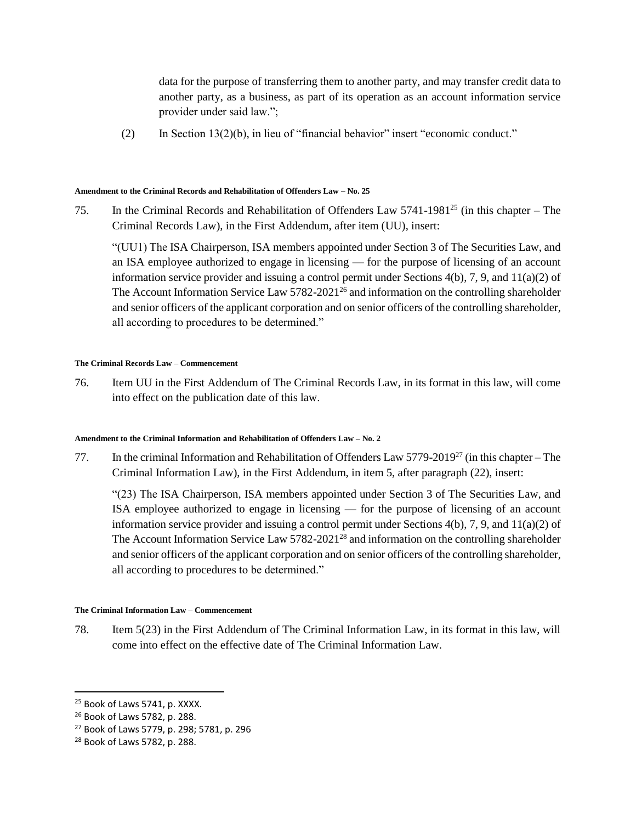data for the purpose of transferring them to another party, and may transfer credit data to another party, as a business, as part of its operation as an account information service provider under said law.";

(2) In Section 13(2)(b), in lieu of "financial behavior" insert "economic conduct."

#### **Amendment to the Criminal Records and Rehabilitation of Offenders Law – No. 25**

75. In the Criminal Records and Rehabilitation of Offenders Law  $5741-1981^{25}$  (in this chapter – The Criminal Records Law), in the First Addendum, after item (UU), insert:

"(UU1) The ISA Chairperson, ISA members appointed under Section 3 of The Securities Law, and an ISA employee authorized to engage in licensing — for the purpose of licensing of an account information service provider and issuing a control permit under Sections  $4(b)$ , 7, 9, and  $11(a)(2)$  of The Account Information Service Law 5782-2021<sup>26</sup> and information on the controlling shareholder and senior officers of the applicant corporation and on senior officers of the controlling shareholder, all according to procedures to be determined."

### **The Criminal Records Law – Commencement**

76. Item UU in the First Addendum of The Criminal Records Law, in its format in this law, will come into effect on the publication date of this law.

### **Amendment to the Criminal Information and Rehabilitation of Offenders Law – No. 2**

77. In the criminal Information and Rehabilitation of Offenders Law  $5779-2019^{27}$  (in this chapter – The Criminal Information Law), in the First Addendum, in item 5, after paragraph (22), insert:

"(23) The ISA Chairperson, ISA members appointed under Section 3 of The Securities Law, and ISA employee authorized to engage in licensing — for the purpose of licensing of an account information service provider and issuing a control permit under Sections  $4(b)$ , 7, 9, and  $11(a)(2)$  of The Account Information Service Law 5782-2021<sup>28</sup> and information on the controlling shareholder and senior officers of the applicant corporation and on senior officers of the controlling shareholder, all according to procedures to be determined."

### **The Criminal Information Law – Commencement**

78. Item 5(23) in the First Addendum of The Criminal Information Law, in its format in this law, will come into effect on the effective date of The Criminal Information Law.

l

<sup>&</sup>lt;sup>25</sup> Book of Laws 5741, p. XXXX.

<sup>26</sup> Book of Laws 5782, p. 288.

<sup>27</sup> Book of Laws 5779, p. 298; 5781, p. 296

<sup>28</sup> Book of Laws 5782, p. 288.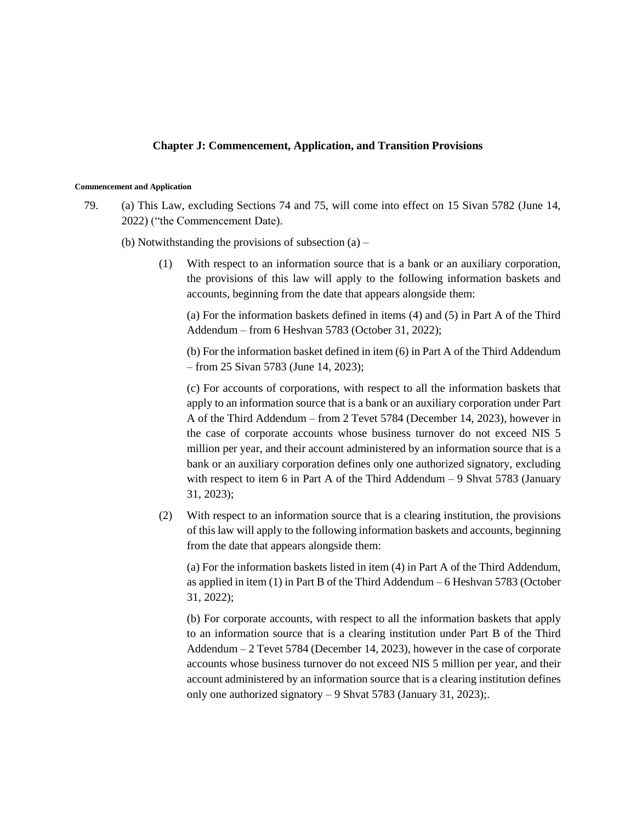### **Chapter J: Commencement, Application, and Transition Provisions**

#### **Commencement and Application**

79. (a) This Law, excluding Sections 74 and 75, will come into effect on 15 Sivan 5782 (June 14, 2022) ("the Commencement Date).

(b) Notwithstanding the provisions of subsection  $(a)$  –

(1) With respect to an information source that is a bank or an auxiliary corporation, the provisions of this law will apply to the following information baskets and accounts, beginning from the date that appears alongside them:

(a) For the information baskets defined in items (4) and (5) in Part A of the Third Addendum – from 6 Heshvan 5783 (October 31, 2022);

(b) For the information basket defined in item (6) in Part A of the Third Addendum – from 25 Sivan 5783 (June 14, 2023);

(c) For accounts of corporations, with respect to all the information baskets that apply to an information source that is a bank or an auxiliary corporation under Part A of the Third Addendum – from 2 Tevet 5784 (December 14, 2023), however in the case of corporate accounts whose business turnover do not exceed NIS 5 million per year, and their account administered by an information source that is a bank or an auxiliary corporation defines only one authorized signatory, excluding with respect to item 6 in Part A of the Third Addendum – 9 Shvat 5783 (January 31, 2023);

(2) With respect to an information source that is a clearing institution, the provisions of this law will apply to the following information baskets and accounts, beginning from the date that appears alongside them:

(a) For the information baskets listed in item (4) in Part A of the Third Addendum, as applied in item (1) in Part B of the Third Addendum – 6 Heshvan 5783 (October 31, 2022);

(b) For corporate accounts, with respect to all the information baskets that apply to an information source that is a clearing institution under Part B of the Third Addendum – 2 Tevet 5784 (December 14, 2023), however in the case of corporate accounts whose business turnover do not exceed NIS 5 million per year, and their account administered by an information source that is a clearing institution defines only one authorized signatory – 9 Shvat 5783 (January 31, 2023);.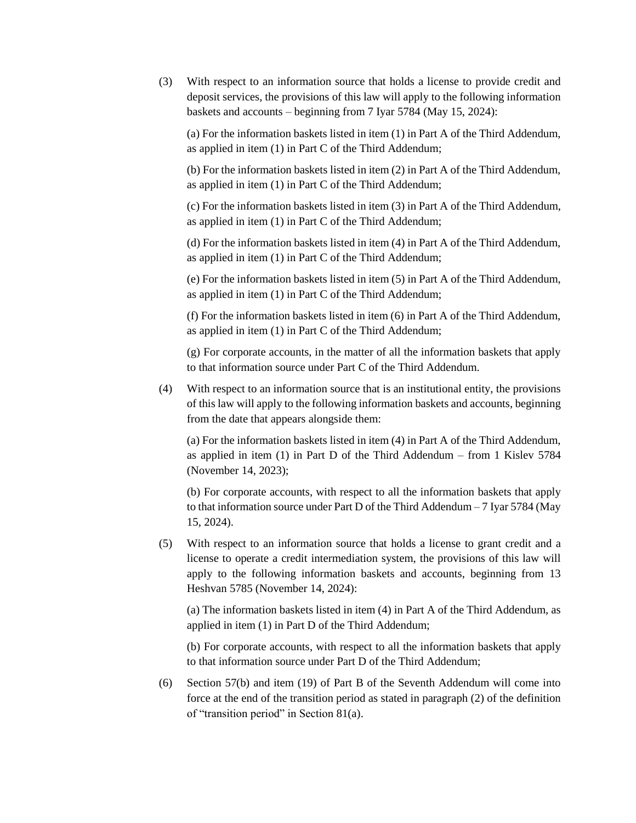(3) With respect to an information source that holds a license to provide credit and deposit services, the provisions of this law will apply to the following information baskets and accounts – beginning from 7 Iyar 5784 (May 15, 2024):

(a) For the information baskets listed in item (1) in Part A of the Third Addendum, as applied in item (1) in Part C of the Third Addendum;

(b) For the information baskets listed in item (2) in Part A of the Third Addendum, as applied in item (1) in Part C of the Third Addendum;

(c) For the information baskets listed in item (3) in Part A of the Third Addendum, as applied in item (1) in Part C of the Third Addendum;

(d) For the information baskets listed in item (4) in Part A of the Third Addendum, as applied in item (1) in Part C of the Third Addendum;

(e) For the information baskets listed in item (5) in Part A of the Third Addendum, as applied in item (1) in Part C of the Third Addendum;

(f) For the information baskets listed in item (6) in Part A of the Third Addendum, as applied in item (1) in Part C of the Third Addendum;

(g) For corporate accounts, in the matter of all the information baskets that apply to that information source under Part C of the Third Addendum.

(4) With respect to an information source that is an institutional entity, the provisions of this law will apply to the following information baskets and accounts, beginning from the date that appears alongside them:

(a) For the information baskets listed in item (4) in Part A of the Third Addendum, as applied in item (1) in Part D of the Third Addendum – from 1 Kislev 5784 (November 14, 2023);

(b) For corporate accounts, with respect to all the information baskets that apply to that information source under Part D of the Third Addendum – 7 Iyar 5784 (May 15, 2024).

(5) With respect to an information source that holds a license to grant credit and a license to operate a credit intermediation system, the provisions of this law will apply to the following information baskets and accounts, beginning from 13 Heshvan 5785 (November 14, 2024):

(a) The information baskets listed in item (4) in Part A of the Third Addendum, as applied in item (1) in Part D of the Third Addendum;

(b) For corporate accounts, with respect to all the information baskets that apply to that information source under Part D of the Third Addendum;

(6) Section 57(b) and item (19) of Part B of the Seventh Addendum will come into force at the end of the transition period as stated in paragraph (2) of the definition of "transition period" in Section 81(a).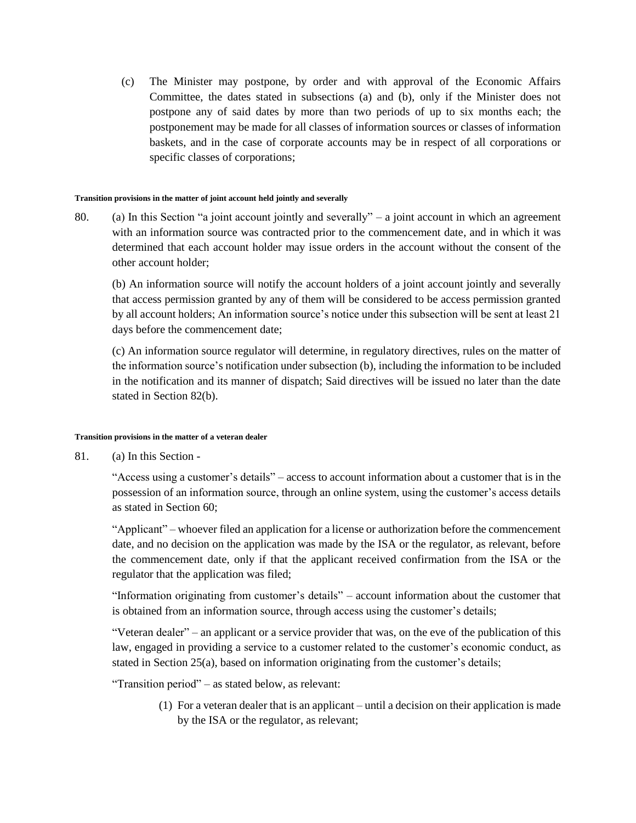(c) The Minister may postpone, by order and with approval of the Economic Affairs Committee, the dates stated in subsections (a) and (b), only if the Minister does not postpone any of said dates by more than two periods of up to six months each; the postponement may be made for all classes of information sources or classes of information baskets, and in the case of corporate accounts may be in respect of all corporations or specific classes of corporations;

#### **Transition provisions in the matter of joint account held jointly and severally**

80. (a) In this Section "a joint account jointly and severally" – a joint account in which an agreement with an information source was contracted prior to the commencement date, and in which it was determined that each account holder may issue orders in the account without the consent of the other account holder;

(b) An information source will notify the account holders of a joint account jointly and severally that access permission granted by any of them will be considered to be access permission granted by all account holders; An information source's notice under this subsection will be sent at least 21 days before the commencement date;

(c) An information source regulator will determine, in regulatory directives, rules on the matter of the information source's notification under subsection (b), including the information to be included in the notification and its manner of dispatch; Said directives will be issued no later than the date stated in Section 82(b).

### **Transition provisions in the matter of a veteran dealer**

81. (a) In this Section -

"Access using a customer's details" – access to account information about a customer that is in the possession of an information source, through an online system, using the customer's access details as stated in Section 60;

"Applicant" – whoever filed an application for a license or authorization before the commencement date, and no decision on the application was made by the ISA or the regulator, as relevant, before the commencement date, only if that the applicant received confirmation from the ISA or the regulator that the application was filed;

"Information originating from customer's details" – account information about the customer that is obtained from an information source, through access using the customer's details;

"Veteran dealer" – an applicant or a service provider that was, on the eve of the publication of this law, engaged in providing a service to a customer related to the customer's economic conduct, as stated in Section 25(a), based on information originating from the customer's details;

"Transition period" – as stated below, as relevant:

(1) For a veteran dealer that is an applicant – until a decision on their application is made by the ISA or the regulator, as relevant;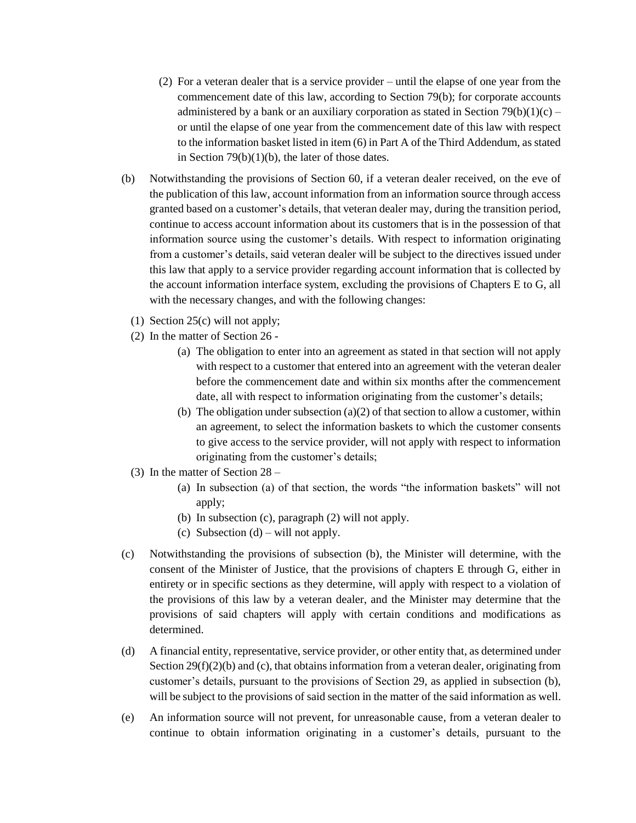- (2) For a veteran dealer that is a service provider until the elapse of one year from the commencement date of this law, according to Section 79(b); for corporate accounts administered by a bank or an auxiliary corporation as stated in Section 79(b)(1)(c) – or until the elapse of one year from the commencement date of this law with respect to the information basket listed in item (6) in Part A of the Third Addendum, as stated in Section  $79(b)(1)(b)$ , the later of those dates.
- (b) Notwithstanding the provisions of Section 60, if a veteran dealer received, on the eve of the publication of this law, account information from an information source through access granted based on a customer's details, that veteran dealer may, during the transition period, continue to access account information about its customers that is in the possession of that information source using the customer's details. With respect to information originating from a customer's details, said veteran dealer will be subject to the directives issued under this law that apply to a service provider regarding account information that is collected by the account information interface system, excluding the provisions of Chapters E to G, all with the necessary changes, and with the following changes:
	- (1) Section 25(c) will not apply;
	- (2) In the matter of Section 26
		- (a) The obligation to enter into an agreement as stated in that section will not apply with respect to a customer that entered into an agreement with the veteran dealer before the commencement date and within six months after the commencement date, all with respect to information originating from the customer's details;
		- (b) The obligation under subsection  $(a)(2)$  of that section to allow a customer, within an agreement, to select the information baskets to which the customer consents to give access to the service provider, will not apply with respect to information originating from the customer's details;
	- (3) In the matter of Section 28
		- (a) In subsection (a) of that section, the words "the information baskets" will not apply;
		- (b) In subsection (c), paragraph (2) will not apply.
		- (c) Subsection  $(d)$  will not apply.
- (c) Notwithstanding the provisions of subsection (b), the Minister will determine, with the consent of the Minister of Justice, that the provisions of chapters E through G, either in entirety or in specific sections as they determine, will apply with respect to a violation of the provisions of this law by a veteran dealer, and the Minister may determine that the provisions of said chapters will apply with certain conditions and modifications as determined.
- (d) A financial entity, representative, service provider, or other entity that, as determined under Section  $29(f)(2)(b)$  and (c), that obtains information from a veteran dealer, originating from customer's details, pursuant to the provisions of Section 29, as applied in subsection (b), will be subject to the provisions of said section in the matter of the said information as well.
- (e) An information source will not prevent, for unreasonable cause, from a veteran dealer to continue to obtain information originating in a customer's details, pursuant to the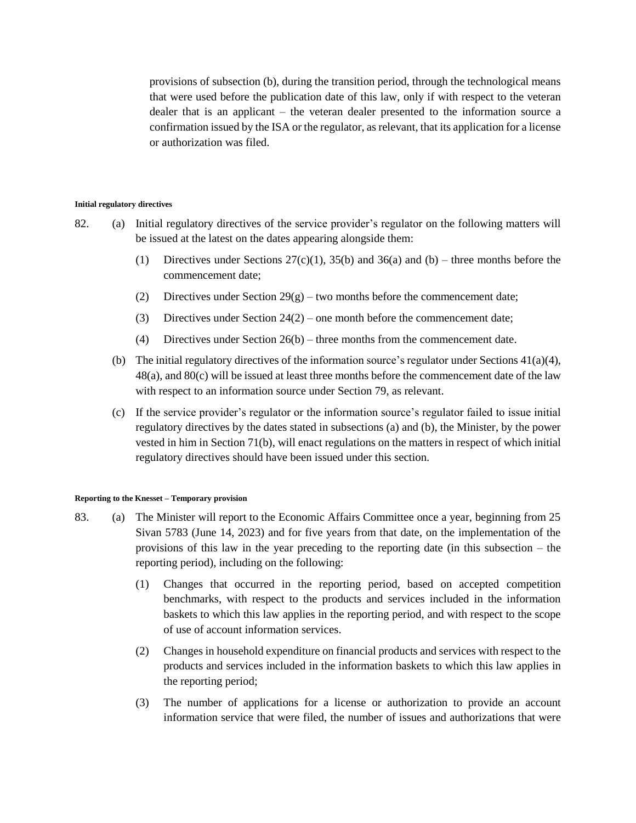provisions of subsection (b), during the transition period, through the technological means that were used before the publication date of this law, only if with respect to the veteran dealer that is an applicant – the veteran dealer presented to the information source a confirmation issued by the ISA or the regulator, as relevant, that its application for a license or authorization was filed.

#### **Initial regulatory directives**

- 82. (a) Initial regulatory directives of the service provider's regulator on the following matters will be issued at the latest on the dates appearing alongside them:
	- (1) Directives under Sections  $27(c)(1)$ ,  $35(b)$  and  $36(a)$  and  $(b)$  three months before the commencement date;
	- (2) Directives under Section  $29(g)$  two months before the commencement date;
	- (3) Directives under Section  $24(2)$  one month before the commencement date;
	- (4) Directives under Section 26(b) three months from the commencement date.
	- (b) The initial regulatory directives of the information source's regulator under Sections 41(a)(4), 48(a), and 80(c) will be issued at least three months before the commencement date of the law with respect to an information source under Section 79, as relevant.
	- (c) If the service provider's regulator or the information source's regulator failed to issue initial regulatory directives by the dates stated in subsections (a) and (b), the Minister, by the power vested in him in Section 71(b), will enact regulations on the matters in respect of which initial regulatory directives should have been issued under this section.

#### **Reporting to the Knesset – Temporary provision**

- 83. (a) The Minister will report to the Economic Affairs Committee once a year, beginning from 25 Sivan 5783 (June 14, 2023) and for five years from that date, on the implementation of the provisions of this law in the year preceding to the reporting date (in this subsection – the reporting period), including on the following:
	- (1) Changes that occurred in the reporting period, based on accepted competition benchmarks, with respect to the products and services included in the information baskets to which this law applies in the reporting period, and with respect to the scope of use of account information services.
	- (2) Changes in household expenditure on financial products and services with respect to the products and services included in the information baskets to which this law applies in the reporting period;
	- (3) The number of applications for a license or authorization to provide an account information service that were filed, the number of issues and authorizations that were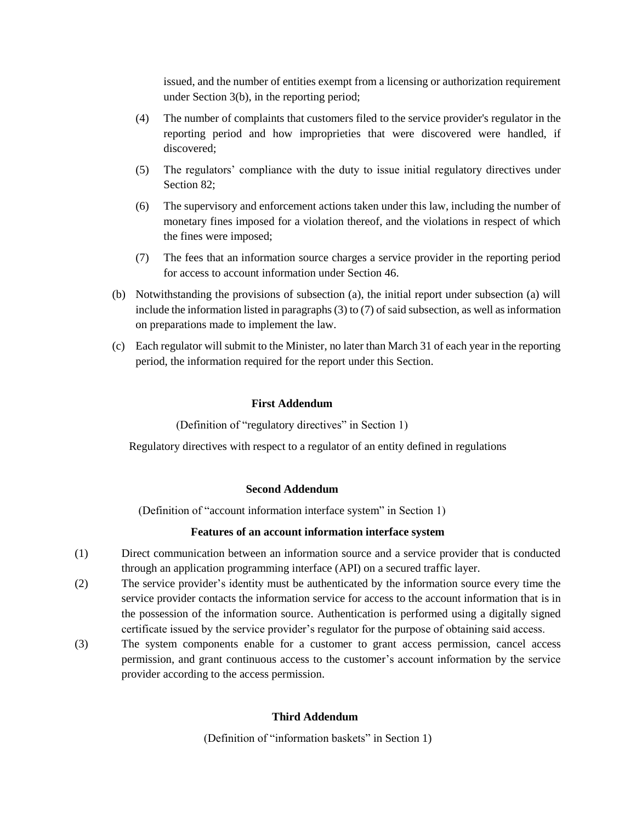issued, and the number of entities exempt from a licensing or authorization requirement under Section 3(b), in the reporting period;

- (4) The number of complaints that customers filed to the service provider's regulator in the reporting period and how improprieties that were discovered were handled, if discovered;
- (5) The regulators' compliance with the duty to issue initial regulatory directives under Section 82;
- (6) The supervisory and enforcement actions taken under this law, including the number of monetary fines imposed for a violation thereof, and the violations in respect of which the fines were imposed;
- (7) The fees that an information source charges a service provider in the reporting period for access to account information under Section 46.
- (b) Notwithstanding the provisions of subsection (a), the initial report under subsection (a) will include the information listed in paragraphs (3) to (7) of said subsection, as well as information on preparations made to implement the law.
- (c) Each regulator will submit to the Minister, no later than March 31 of each year in the reporting period, the information required for the report under this Section.

### **First Addendum**

(Definition of "regulatory directives" in Section 1)

Regulatory directives with respect to a regulator of an entity defined in regulations

## **Second Addendum**

(Definition of "account information interface system" in Section 1)

## **Features of an account information interface system**

- (1) Direct communication between an information source and a service provider that is conducted through an application programming interface (API) on a secured traffic layer.
- (2) The service provider's identity must be authenticated by the information source every time the service provider contacts the information service for access to the account information that is in the possession of the information source. Authentication is performed using a digitally signed certificate issued by the service provider's regulator for the purpose of obtaining said access.
- (3) The system components enable for a customer to grant access permission, cancel access permission, and grant continuous access to the customer's account information by the service provider according to the access permission.

## **Third Addendum**

(Definition of "information baskets" in Section 1)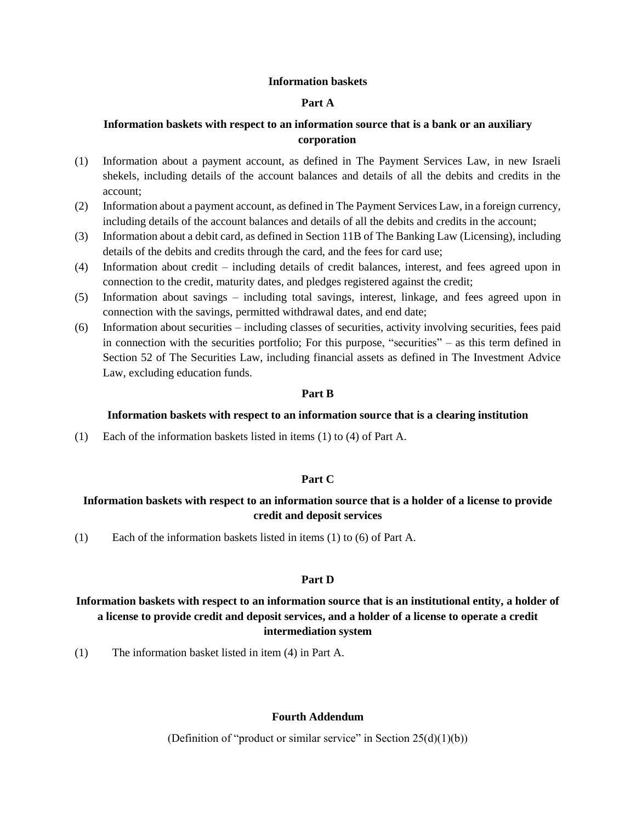### **Information baskets**

### **Part A**

## **Information baskets with respect to an information source that is a bank or an auxiliary corporation**

- (1) Information about a payment account, as defined in The Payment Services Law, in new Israeli shekels, including details of the account balances and details of all the debits and credits in the account;
- (2) Information about a payment account, as defined in The Payment Services Law, in a foreign currency, including details of the account balances and details of all the debits and credits in the account;
- (3) Information about a debit card, as defined in Section 11B of The Banking Law (Licensing), including details of the debits and credits through the card, and the fees for card use;
- (4) Information about credit including details of credit balances, interest, and fees agreed upon in connection to the credit, maturity dates, and pledges registered against the credit;
- (5) Information about savings including total savings, interest, linkage, and fees agreed upon in connection with the savings, permitted withdrawal dates, and end date;
- (6) Information about securities including classes of securities, activity involving securities, fees paid in connection with the securities portfolio; For this purpose, "securities" – as this term defined in Section 52 of The Securities Law, including financial assets as defined in The Investment Advice Law, excluding education funds.

### **Part B**

### **Information baskets with respect to an information source that is a clearing institution**

(1) Each of the information baskets listed in items (1) to (4) of Part A.

## **Part C**

# **Information baskets with respect to an information source that is a holder of a license to provide credit and deposit services**

(1) Each of the information baskets listed in items (1) to (6) of Part A.

### **Part D**

# **Information baskets with respect to an information source that is an institutional entity, a holder of a license to provide credit and deposit services, and a holder of a license to operate a credit intermediation system**

(1) The information basket listed in item (4) in Part A.

## **Fourth Addendum**

(Definition of "product or similar service" in Section  $25(d)(1)(b)$ )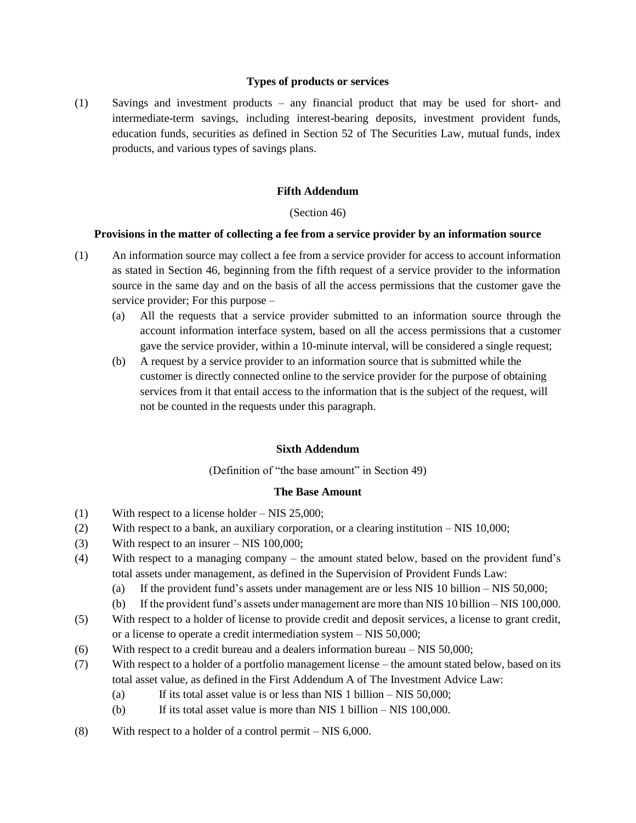### **Types of products or services**

(1) Savings and investment products – any financial product that may be used for short- and intermediate-term savings, including interest-bearing deposits, investment provident funds, education funds, securities as defined in Section 52 of The Securities Law, mutual funds, index products, and various types of savings plans.

## **Fifth Addendum**

## (Section 46)

## **Provisions in the matter of collecting a fee from a service provider by an information source**

- (1) An information source may collect a fee from a service provider for access to account information as stated in Section 46, beginning from the fifth request of a service provider to the information source in the same day and on the basis of all the access permissions that the customer gave the service provider; For this purpose –
	- (a) All the requests that a service provider submitted to an information source through the account information interface system, based on all the access permissions that a customer gave the service provider, within a 10-minute interval, will be considered a single request;
	- (b) A request by a service provider to an information source that is submitted while the customer is directly connected online to the service provider for the purpose of obtaining services from it that entail access to the information that is the subject of the request, will not be counted in the requests under this paragraph.

## **Sixth Addendum**

(Definition of "the base amount" in Section 49)

## **The Base Amount**

- (1) With respect to a license holder NIS 25,000;
- (2) With respect to a bank, an auxiliary corporation, or a clearing institution NIS 10,000;
- (3) With respect to an insurer NIS 100,000;
- (4) With respect to a managing company the amount stated below, based on the provident fund's total assets under management, as defined in the Supervision of Provident Funds Law:
	- (a) If the provident fund's assets under management are or less NIS 10 billion NIS 50,000;
	- (b) If the provident fund's assets under management are more than NIS 10 billion NIS 100,000.
- (5) With respect to a holder of license to provide credit and deposit services, a license to grant credit, or a license to operate a credit intermediation system – NIS 50,000;
- (6) With respect to a credit bureau and a dealers information bureau NIS 50,000;
- (7) With respect to a holder of a portfolio management license the amount stated below, based on its total asset value, as defined in the First Addendum A of The Investment Advice Law:
	- (a) If its total asset value is or less than NIS 1 billion NIS  $50,000$ ;
	- (b) If its total asset value is more than NIS 1 billion NIS 100,000.
- (8) With respect to a holder of a control permit NIS 6,000.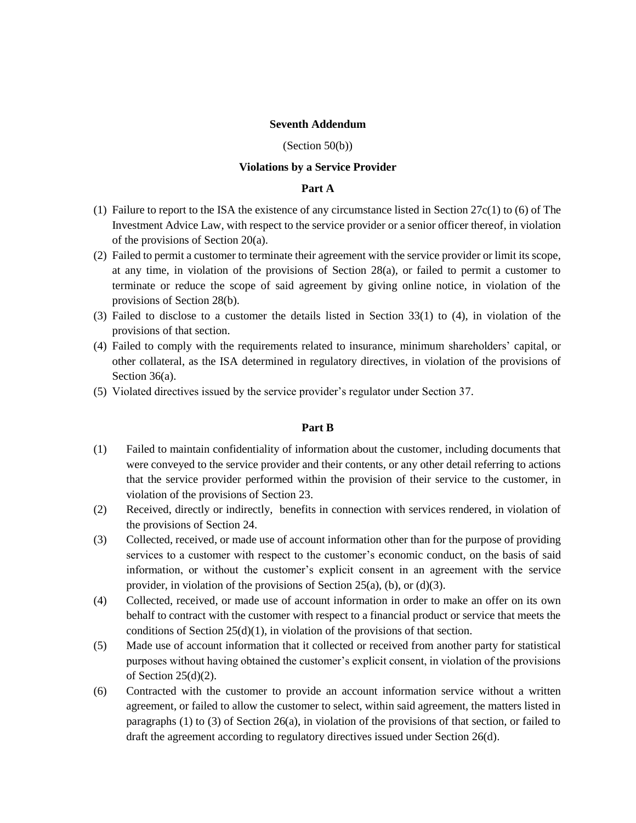### **Seventh Addendum**

#### (Section 50(b))

#### **Violations by a Service Provider**

### **Part A**

- (1) Failure to report to the ISA the existence of any circumstance listed in Section 27c(1) to (6) of The Investment Advice Law, with respect to the service provider or a senior officer thereof, in violation of the provisions of Section 20(a).
- (2) Failed to permit a customer to terminate their agreement with the service provider or limit its scope, at any time, in violation of the provisions of Section 28(a), or failed to permit a customer to terminate or reduce the scope of said agreement by giving online notice, in violation of the provisions of Section 28(b).
- (3) Failed to disclose to a customer the details listed in Section 33(1) to (4), in violation of the provisions of that section.
- (4) Failed to comply with the requirements related to insurance, minimum shareholders' capital, or other collateral, as the ISA determined in regulatory directives, in violation of the provisions of Section 36(a).
- (5) Violated directives issued by the service provider's regulator under Section 37.

#### **Part B**

- (1) Failed to maintain confidentiality of information about the customer, including documents that were conveyed to the service provider and their contents, or any other detail referring to actions that the service provider performed within the provision of their service to the customer, in violation of the provisions of Section 23.
- (2) Received, directly or indirectly, benefits in connection with services rendered, in violation of the provisions of Section 24.
- (3) Collected, received, or made use of account information other than for the purpose of providing services to a customer with respect to the customer's economic conduct, on the basis of said information, or without the customer's explicit consent in an agreement with the service provider, in violation of the provisions of Section 25(a), (b), or (d)(3).
- (4) Collected, received, or made use of account information in order to make an offer on its own behalf to contract with the customer with respect to a financial product or service that meets the conditions of Section  $25(d)(1)$ , in violation of the provisions of that section.
- (5) Made use of account information that it collected or received from another party for statistical purposes without having obtained the customer's explicit consent, in violation of the provisions of Section 25(d)(2).
- (6) Contracted with the customer to provide an account information service without a written agreement, or failed to allow the customer to select, within said agreement, the matters listed in paragraphs (1) to (3) of Section  $26(a)$ , in violation of the provisions of that section, or failed to draft the agreement according to regulatory directives issued under Section 26(d).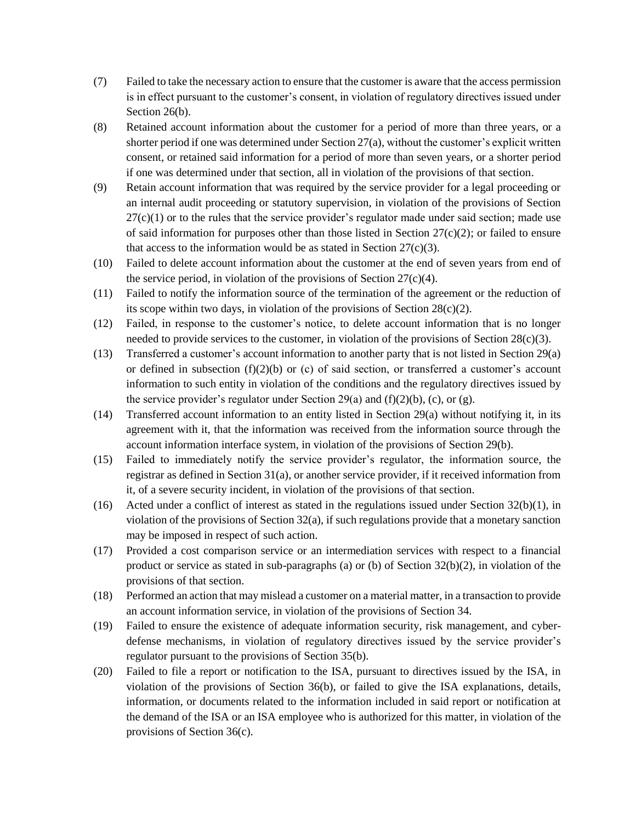- (7) Failed to take the necessary action to ensure that the customer is aware that the access permission is in effect pursuant to the customer's consent, in violation of regulatory directives issued under Section 26(b).
- (8) Retained account information about the customer for a period of more than three years, or a shorter period if one was determined under Section 27(a), without the customer's explicit written consent, or retained said information for a period of more than seven years, or a shorter period if one was determined under that section, all in violation of the provisions of that section.
- (9) Retain account information that was required by the service provider for a legal proceeding or an internal audit proceeding or statutory supervision, in violation of the provisions of Section  $27(c)(1)$  or to the rules that the service provider's regulator made under said section; made use of said information for purposes other than those listed in Section  $27(c)(2)$ ; or failed to ensure that access to the information would be as stated in Section  $27(c)(3)$ .
- (10) Failed to delete account information about the customer at the end of seven years from end of the service period, in violation of the provisions of Section  $27(c)(4)$ .
- (11) Failed to notify the information source of the termination of the agreement or the reduction of its scope within two days, in violation of the provisions of Section 28(c)(2).
- (12) Failed, in response to the customer's notice, to delete account information that is no longer needed to provide services to the customer, in violation of the provisions of Section  $28(c)(3)$ .
- (13) Transferred a customer's account information to another party that is not listed in Section 29(a) or defined in subsection  $(f)(2)(b)$  or (c) of said section, or transferred a customer's account information to such entity in violation of the conditions and the regulatory directives issued by the service provider's regulator under Section 29(a) and  $(f)(2)(b)$ ,  $(c)$ , or  $(g)$ .
- (14) Transferred account information to an entity listed in Section 29(a) without notifying it, in its agreement with it, that the information was received from the information source through the account information interface system, in violation of the provisions of Section 29(b).
- (15) Failed to immediately notify the service provider's regulator, the information source, the registrar as defined in Section 31(a), or another service provider, if it received information from it, of a severe security incident, in violation of the provisions of that section.
- (16) Acted under a conflict of interest as stated in the regulations issued under Section  $32(b)(1)$ , in violation of the provisions of Section 32(a), if such regulations provide that a monetary sanction may be imposed in respect of such action.
- (17) Provided a cost comparison service or an intermediation services with respect to a financial product or service as stated in sub-paragraphs (a) or (b) of Section 32(b)(2), in violation of the provisions of that section.
- (18) Performed an action that may mislead a customer on a material matter, in a transaction to provide an account information service, in violation of the provisions of Section 34.
- (19) Failed to ensure the existence of adequate information security, risk management, and cyberdefense mechanisms, in violation of regulatory directives issued by the service provider's regulator pursuant to the provisions of Section 35(b).
- (20) Failed to file a report or notification to the ISA, pursuant to directives issued by the ISA, in violation of the provisions of Section 36(b), or failed to give the ISA explanations, details, information, or documents related to the information included in said report or notification at the demand of the ISA or an ISA employee who is authorized for this matter, in violation of the provisions of Section 36(c).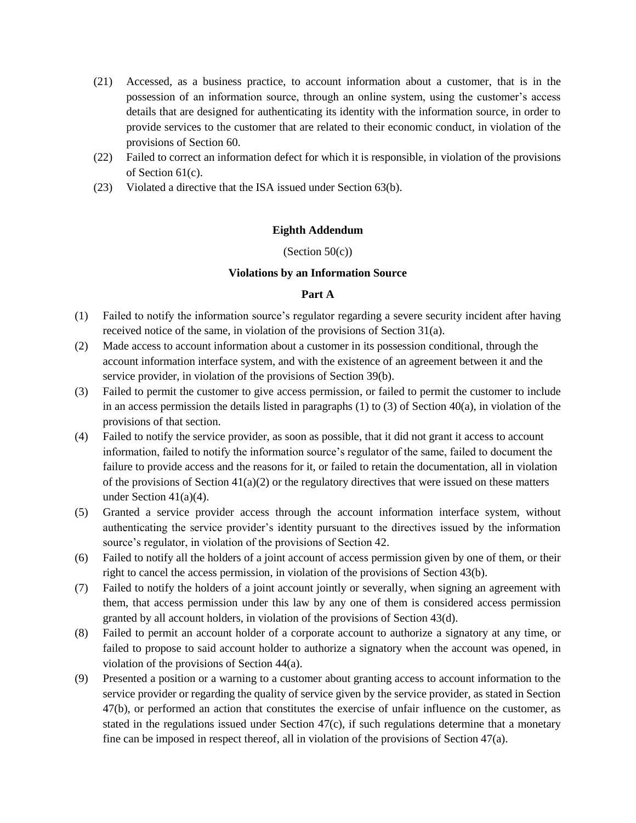- (21) Accessed, as a business practice, to account information about a customer, that is in the possession of an information source, through an online system, using the customer's access details that are designed for authenticating its identity with the information source, in order to provide services to the customer that are related to their economic conduct, in violation of the provisions of Section 60.
- (22) Failed to correct an information defect for which it is responsible, in violation of the provisions of Section 61(c).
- (23) Violated a directive that the ISA issued under Section 63(b).

## **Eighth Addendum**

## (Section  $50(c)$ )

## **Violations by an Information Source**

## **Part A**

- (1) Failed to notify the information source's regulator regarding a severe security incident after having received notice of the same, in violation of the provisions of Section 31(a).
- (2) Made access to account information about a customer in its possession conditional, through the account information interface system, and with the existence of an agreement between it and the service provider, in violation of the provisions of Section 39(b).
- (3) Failed to permit the customer to give access permission, or failed to permit the customer to include in an access permission the details listed in paragraphs  $(1)$  to  $(3)$  of Section 40 $(a)$ , in violation of the provisions of that section.
- (4) Failed to notify the service provider, as soon as possible, that it did not grant it access to account information, failed to notify the information source's regulator of the same, failed to document the failure to provide access and the reasons for it, or failed to retain the documentation, all in violation of the provisions of Section  $41(a)(2)$  or the regulatory directives that were issued on these matters under Section  $41(a)(4)$ .
- (5) Granted a service provider access through the account information interface system, without authenticating the service provider's identity pursuant to the directives issued by the information source's regulator, in violation of the provisions of Section 42.
- (6) Failed to notify all the holders of a joint account of access permission given by one of them, or their right to cancel the access permission, in violation of the provisions of Section 43(b).
- (7) Failed to notify the holders of a joint account jointly or severally, when signing an agreement with them, that access permission under this law by any one of them is considered access permission granted by all account holders, in violation of the provisions of Section 43(d).
- (8) Failed to permit an account holder of a corporate account to authorize a signatory at any time, or failed to propose to said account holder to authorize a signatory when the account was opened, in violation of the provisions of Section 44(a).
- (9) Presented a position or a warning to a customer about granting access to account information to the service provider or regarding the quality of service given by the service provider, as stated in Section 47(b), or performed an action that constitutes the exercise of unfair influence on the customer, as stated in the regulations issued under Section  $47(c)$ , if such regulations determine that a monetary fine can be imposed in respect thereof, all in violation of the provisions of Section  $47(a)$ .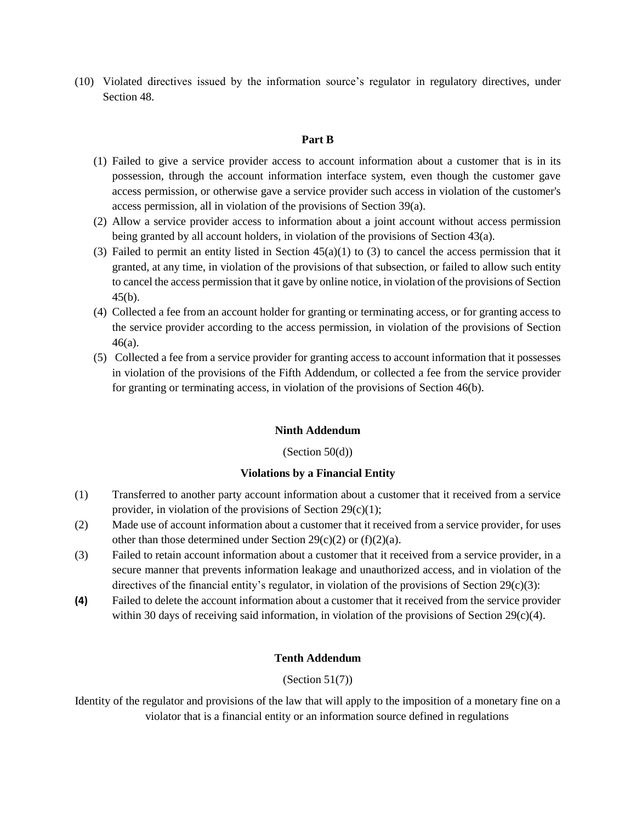(10) Violated directives issued by the information source's regulator in regulatory directives, under Section 48.

## **Part B**

- (1) Failed to give a service provider access to account information about a customer that is in its possession, through the account information interface system, even though the customer gave access permission, or otherwise gave a service provider such access in violation of the customer's access permission, all in violation of the provisions of Section 39(a).
- (2) Allow a service provider access to information about a joint account without access permission being granted by all account holders, in violation of the provisions of Section 43(a).
- (3) Failed to permit an entity listed in Section  $45(a)(1)$  to (3) to cancel the access permission that it granted, at any time, in violation of the provisions of that subsection, or failed to allow such entity to cancel the access permission that it gave by online notice, in violation of the provisions of Section 45(b).
- (4) Collected a fee from an account holder for granting or terminating access, or for granting access to the service provider according to the access permission, in violation of the provisions of Section 46(a).
- (5) Collected a fee from a service provider for granting access to account information that it possesses in violation of the provisions of the Fifth Addendum, or collected a fee from the service provider for granting or terminating access, in violation of the provisions of Section 46(b).

## **Ninth Addendum**

## $(Section 50(d))$

### **Violations by a Financial Entity**

- (1) Transferred to another party account information about a customer that it received from a service provider, in violation of the provisions of Section  $29(c)(1)$ ;
- (2) Made use of account information about a customer that it received from a service provider, for uses other than those determined under Section  $29(c)(2)$  or  $(f)(2)(a)$ .
- (3) Failed to retain account information about a customer that it received from a service provider, in a secure manner that prevents information leakage and unauthorized access, and in violation of the directives of the financial entity's regulator, in violation of the provisions of Section  $29(c)(3)$ :
- **(4)** Failed to delete the account information about a customer that it received from the service provider within 30 days of receiving said information, in violation of the provisions of Section  $29(c)(4)$ .

## **Tenth Addendum**

## (Section 51(7))

Identity of the regulator and provisions of the law that will apply to the imposition of a monetary fine on a violator that is a financial entity or an information source defined in regulations